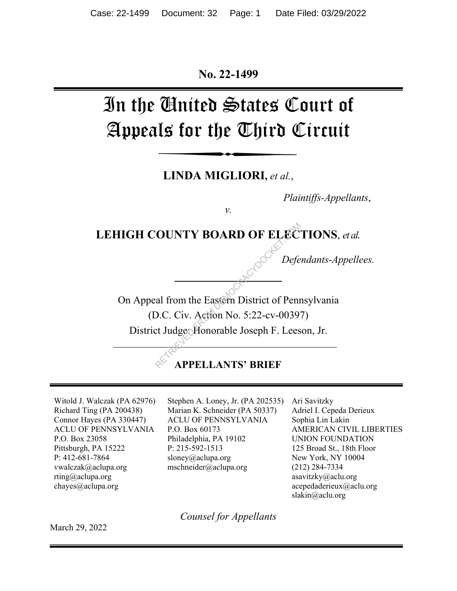**No. 22-1499**

# In the United States Court of Appeals for the Third Circuit

LINDA MIGLIORI, et al.,

*Plaintiffs-Appellants*,

*v.*

**LEHIGH COUNTY BOARD OF ELECTIONS**, *et al.* OUNTY BOARD OF ELECTER<br>
Defe<br>
al from the Eastern District of Penr<br>
D.C. Civ. Action No. 5:22-cv-0039<br>
et Judge Honorable Joseph F. Lees<br>
APPELLANTS' BRIEF

*Defendants-Appellees.*

On Appeal from the Eastern District of Pennsylvania

(D.C. Civ. Action No. 5:22-cv-00397)

District Judge: Honorable Joseph F. Leeson, Jr.

## **APPELLANTS' BRIEF**

Witold J. Walczak (PA 62976) Richard Ting (PA 200438) Connor Hayes (PA 330447) ACLU OF PENNSYLVANIA P.O. Box 23058 Pittsburgh, PA 15222 P: 412-681-7864 vwalczak@aclupa.org rting@aclupa.org chayes@aclupa.org

Stephen A. Loney, Jr. (PA 202535) Marian K. Schneider (PA 50337) ACLU OF PENNSYLVANIA P.O. Box 60173 Philadelphia, PA 19102 P: 215-592-1513 sloney@aclupa.org mschneider@aclupa.org

Ari Savitzky Adriel I. Cepeda Derieux Sophia Lin Lakin AMERICAN CIVIL LIBERTIES UNION FOUNDATION 125 Broad St., 18th Floor New York, NY 10004 (212) 284-7334 asavitzky@aclu.org acepedaderieux@aclu.org slakin@aclu.org

*Counsel for Appellants*

March 29, 2022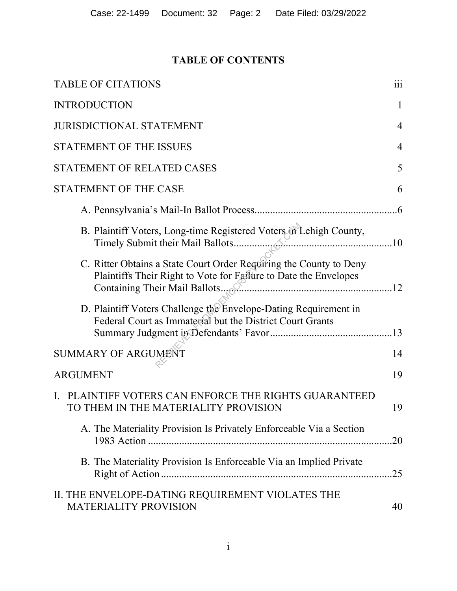## **TABLE OF CONTENTS**

| <b>TABLE OF CITATIONS</b>                                                                                                              | 111            |
|----------------------------------------------------------------------------------------------------------------------------------------|----------------|
| <b>INTRODUCTION</b>                                                                                                                    | 1              |
| <b>JURISDICTIONAL STATEMENT</b>                                                                                                        | $\overline{4}$ |
| STATEMENT OF THE ISSUES                                                                                                                | $\overline{4}$ |
| STATEMENT OF RELATED CASES                                                                                                             | 5              |
| <b>STATEMENT OF THE CASE</b>                                                                                                           | 6              |
|                                                                                                                                        |                |
| B. Plaintiff Voters, Long-time Registered Voters in Lehigh County,                                                                     |                |
| C. Ritter Obtains a State Court Order Requiring the County to Deny<br>Plaintiffs Their Right to Vote for Failure to Date the Envelopes |                |
| D. Plaintiff Voters Challenge the Envelope-Dating Requirement in<br>Federal Court as Immaterial but the District Court Grants          |                |
| SUMMARY OF ARGUMENT                                                                                                                    | 14             |
| <b>ARGUMENT</b>                                                                                                                        | 19             |
| PLAINTIFF VOTERS CAN ENFORCE THE RIGHTS GUARANTEED<br>TO THEM IN THE MATERIALITY PROVISION                                             | 19             |
| A. The Materiality Provision Is Privately Enforceable Via a Section                                                                    |                |
| B. The Materiality Provision Is Enforceable Via an Implied Private                                                                     | .25            |
| II. THE ENVELOPE-DATING REQUIREMENT VIOLATES THE<br><b>MATERIALITY PROVISION</b>                                                       | 40             |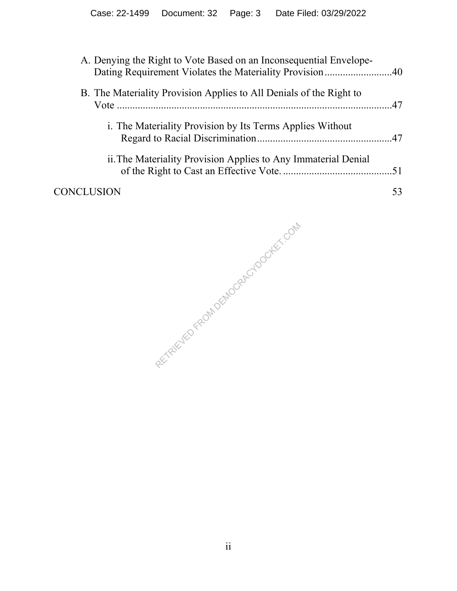| A. Denying the Right to Vote Based on an Inconsequential Envelope-<br>Dating Requirement Violates the Materiality Provision40 |    |
|-------------------------------------------------------------------------------------------------------------------------------|----|
| B. The Materiality Provision Applies to All Denials of the Right to                                                           |    |
| i. The Materiality Provision by Its Terms Applies Without                                                                     |    |
| ii. The Materiality Provision Applies to Any Immaterial Denial                                                                |    |
| <b>CONCLUSION</b>                                                                                                             | 53 |

RETRIEVED FROM DEMOCRACYDOCKET.COM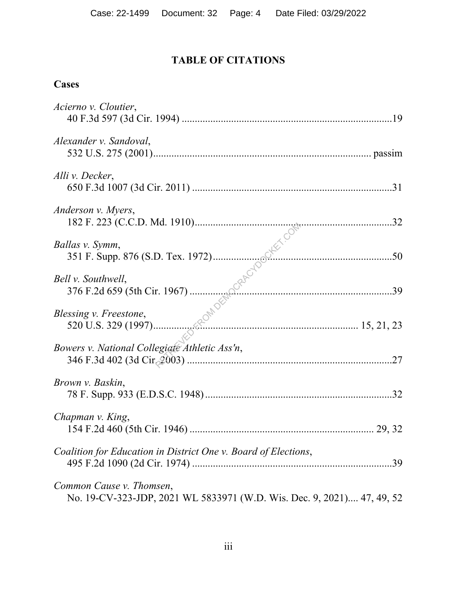## **TABLE OF CITATIONS**

## **Cases**

| Acierno v. Cloutier,                                                                               |
|----------------------------------------------------------------------------------------------------|
| Alexander v. Sandoval,                                                                             |
| Alli v. Decker,                                                                                    |
| Anderson v. Myers,                                                                                 |
| Ballas v. Symm,                                                                                    |
| Bell v. Southwell,                                                                                 |
| Blessing v. Freestone,                                                                             |
| Bowers v. National Collegiate Athletic Ass'n,                                                      |
| Brown v. Baskin,                                                                                   |
| Chapman v. King,                                                                                   |
| Coalition for Education in District One v. Board of Elections,<br>.39                              |
| Common Cause v. Thomsen,<br>No. 19-CV-323-JDP, 2021 WL 5833971 (W.D. Wis. Dec. 9, 2021) 47, 49, 52 |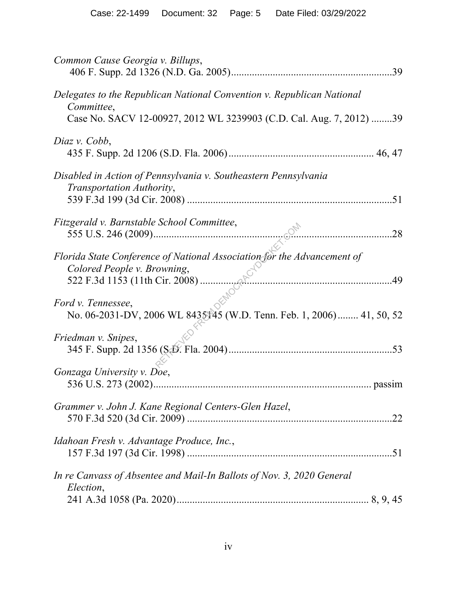| Common Cause Georgia v. Billups,                                                                                                                            |  |
|-------------------------------------------------------------------------------------------------------------------------------------------------------------|--|
| Delegates to the Republican National Convention v. Republican National<br>Committee,<br>Case No. SACV 12-00927, 2012 WL 3239903 (C.D. Cal. Aug. 7, 2012) 39 |  |
| Diaz v. Cobb,                                                                                                                                               |  |
| Disabled in Action of Pennsylvania v. Southeastern Pennsylvania<br>Transportation Authority,                                                                |  |
| Fitzgerald v. Barnstable School Committee,<br>$\ldots$                                                                                                      |  |
| Florida State Conference of National Association for the Advancement of                                                                                     |  |
| Ford v. Tennessee,<br>No. 06-2031-DV, 2006 WL 8435145 (W.D. Tenn. Feb. 1, 2006) 41, 50, 52                                                                  |  |
| Friedman v. Snipes,                                                                                                                                         |  |
| Gonzaga University v. Doe,                                                                                                                                  |  |
| Grammer v. John J. Kane Regional Centers-Glen Hazel,                                                                                                        |  |
| Idahoan Fresh v. Advantage Produce, Inc.,                                                                                                                   |  |
| In re Canvass of Absentee and Mail-In Ballots of Nov. 3, 2020 General<br>Election,                                                                          |  |
|                                                                                                                                                             |  |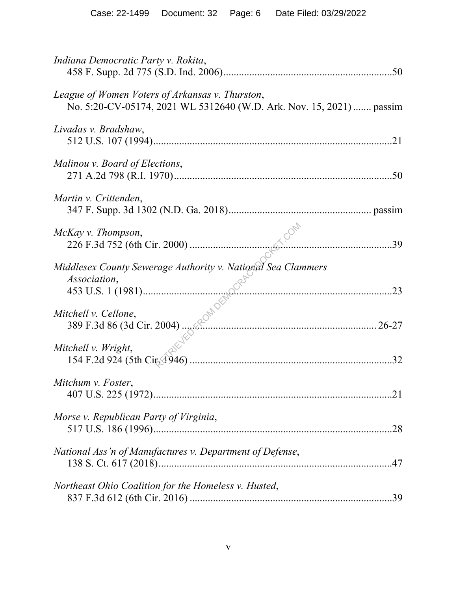| Indiana Democratic Party v. Rokita,                                                                                     |
|-------------------------------------------------------------------------------------------------------------------------|
| League of Women Voters of Arkansas v. Thurston,<br>No. 5:20-CV-05174, 2021 WL 5312640 (W.D. Ark. Nov. 15, 2021)  passim |
| Livadas v. Bradshaw,                                                                                                    |
| Malinou v. Board of Elections,                                                                                          |
| Martin v. Crittenden,                                                                                                   |
| McKay v. Thompson,                                                                                                      |
| Middlesex County Sewerage Authority v. National Sea Clammers<br>Association,                                            |
| Mitchell v. Cellone,                                                                                                    |
| Mitchell v. Wright,                                                                                                     |
| Mitchum v. Foster,                                                                                                      |
| Morse v. Republican Party of Virginia,                                                                                  |
| National Ass'n of Manufactures v. Department of Defense,                                                                |
| Northeast Ohio Coalition for the Homeless v. Husted,                                                                    |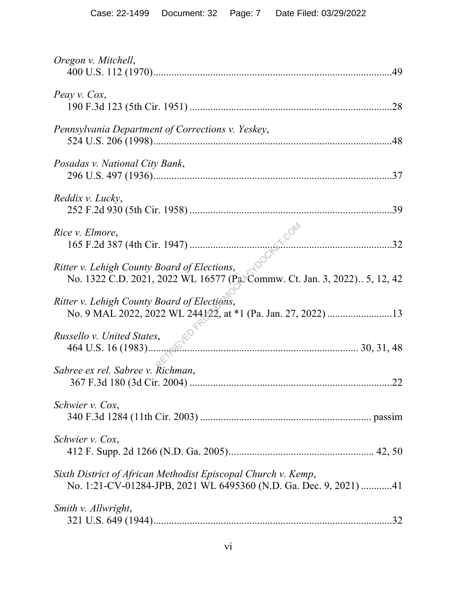| Oregon v. Mitchell,                                                                                                                |
|------------------------------------------------------------------------------------------------------------------------------------|
| Peay v. Cox,                                                                                                                       |
| Pennsylvania Department of Corrections v. Yeskey,                                                                                  |
| Posadas v. National City Bank,                                                                                                     |
| Reddix v. Lucky,                                                                                                                   |
| 165 F.2d 387 (4th Cir. 1947)<br>ter v. Lehigh County Board of Floatience<br>Rice v. Elmore,                                        |
| Ritter v. Lehigh County Board of Elections,<br>No. 1322 C.D. 2021, 2022 WL 16577 (Pa. Commw. Ct. Jan. 3, 2022) 5, 12, 42           |
| Ritter v. Lehigh County Board of Elections,<br>No. 9 MAL 2022, 2022 WL 244122, at *1 (Pa. Jan. 27, 2022) 13                        |
| <i>Russello v. United States,</i>                                                                                                  |
| Sabree ex rel. Sabree v. Richman,<br>.22                                                                                           |
| Schwier v. Cox,                                                                                                                    |
| Schwier v. Cox,                                                                                                                    |
| Sixth District of African Methodist Episcopal Church v. Kemp,<br>No. 1:21-CV-01284-JPB, 2021 WL 6495360 (N.D. Ga. Dec. 9, 2021) 41 |
| Smith v. Allwright,                                                                                                                |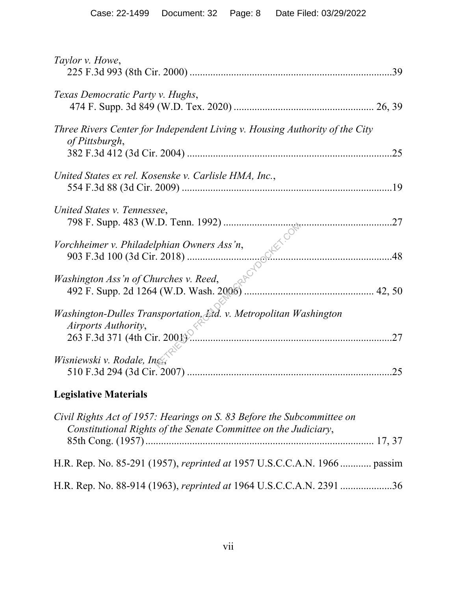| Taylor v. Howe,<br>.39                                                                                                                    |
|-------------------------------------------------------------------------------------------------------------------------------------------|
| Texas Democratic Party v. Hughs,                                                                                                          |
| Three Rivers Center for Independent Living v. Housing Authority of the City<br>of Pittsburgh,<br>.25                                      |
| United States ex rel. Kosenske v. Carlisle HMA, Inc.,                                                                                     |
| United States v. Tennessee,                                                                                                               |
| Vorchheimer v. Philadelphian Owners Ass'n,                                                                                                |
| Washington Ass'n of Churches v. Reed,                                                                                                     |
| Washington-Dulles Transportation, Atd. v. Metropolitan Washington<br>Airports Authority,<br>263 F.3d 371 (4th Cir. 2001)<br>.27           |
| Wisniewski v. Rodale, Inco<br>25                                                                                                          |
| <b>Legislative Materials</b>                                                                                                              |
| Civil Rights Act of 1957: Hearings on S. 83 Before the Subcommittee on<br>Constitutional Rights of the Senate Committee on the Judiciary, |

H.R. Rep. No. 85-291 (1957), *reprinted at* 1957 U.S.C.C.A.N. 1966 ............ passim

H.R. Rep. No. 88-914 (1963), *reprinted at* 1964 U.S.C.C.A.N. 2391 ....................36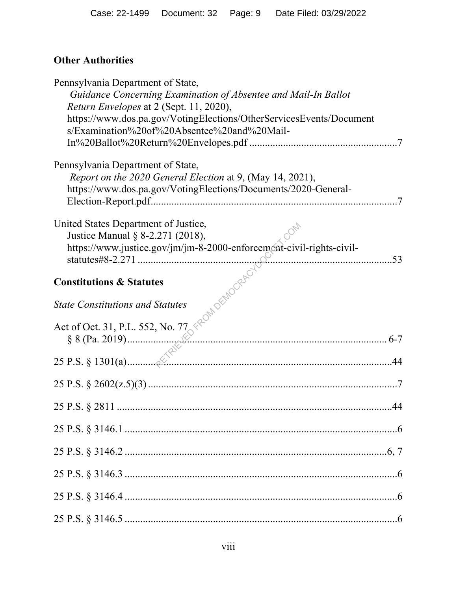## **Other Authorities**

| Pennsylvania Department of State,                                    |
|----------------------------------------------------------------------|
| Guidance Concerning Examination of Absentee and Mail-In Ballot       |
| Return Envelopes at 2 (Sept. 11, 2020),                              |
| https://www.dos.pa.gov/VotingElections/OtherServicesEvents/Document  |
| s/Examination%20of%20Absentee%20and%20Mail-                          |
|                                                                      |
|                                                                      |
| Pennsylvania Department of State,                                    |
| Report on the 2020 General Election at 9, (May 14, 2021),            |
| https://www.dos.pa.gov/VotingElections/Documents/2020-General-       |
|                                                                      |
|                                                                      |
| United States Department of Justice,                                 |
| Justice Manual § 8-2.271 (2018),                                     |
| https://www.justice.gov/jm/jm-8-2000-enforcement-civil-rights-civil- |
|                                                                      |
|                                                                      |
|                                                                      |
|                                                                      |
|                                                                      |
|                                                                      |
|                                                                      |
|                                                                      |
|                                                                      |
|                                                                      |
|                                                                      |
|                                                                      |
| .44                                                                  |
|                                                                      |
|                                                                      |
|                                                                      |
|                                                                      |
|                                                                      |
|                                                                      |
|                                                                      |
|                                                                      |
|                                                                      |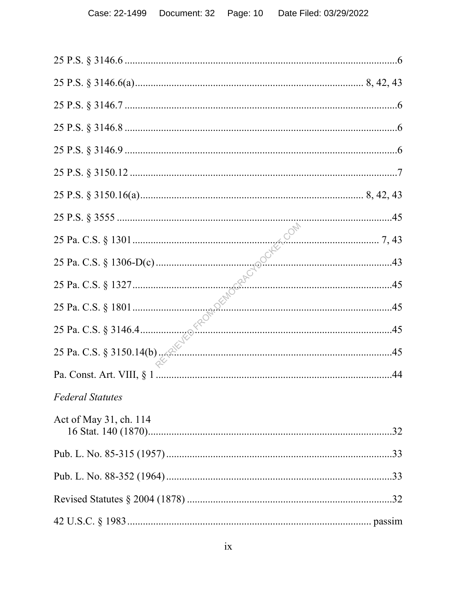| <b>Federal Statutes</b> |  |
|-------------------------|--|
| Act of May 31, ch. 114  |  |
|                         |  |
|                         |  |
|                         |  |
|                         |  |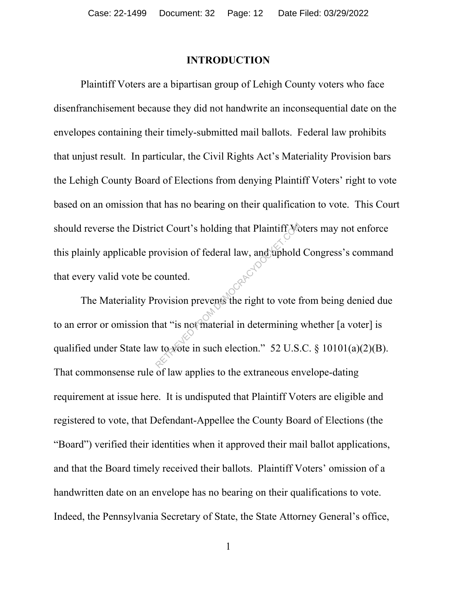#### **INTRODUCTION**

Plaintiff Voters are a bipartisan group of Lehigh County voters who face disenfranchisement because they did not handwrite an inconsequential date on the envelopes containing their timely-submitted mail ballots. Federal law prohibits that unjust result. In particular, the Civil Rights Act's Materiality Provision bars the Lehigh County Board of Elections from denying Plaintiff Voters' right to vote based on an omission that has no bearing on their qualification to vote. This Court should reverse the District Court's holding that Plaintiff Voters may not enforce this plainly applicable provision of federal law, and uphold Congress's command that every valid vote be counted.

The Materiality Provision prevents the right to vote from being denied due to an error or omission that "is not material in determining whether [a voter] is qualified under State law to vote in such election." 52 U.S.C. § 10101(a)(2)(B). That commonsense rule of law applies to the extraneous envelope-dating requirement at issue here. It is undisputed that Plaintiff Voters are eligible and registered to vote, that Defendant-Appellee the County Board of Elections (the "Board") verified their identities when it approved their mail ballot applications, and that the Board timely received their ballots. Plaintiff Voters' omission of a handwritten date on an envelope has no bearing on their qualifications to vote. Indeed, the Pennsylvania Secretary of State, the State Attorney General's office, rovision of federal law, and uphold<br>counted.<br>rovision prevents the right to vote f<br>hat "is not material in determining<br>v to vote in such election." 52 U.S.

1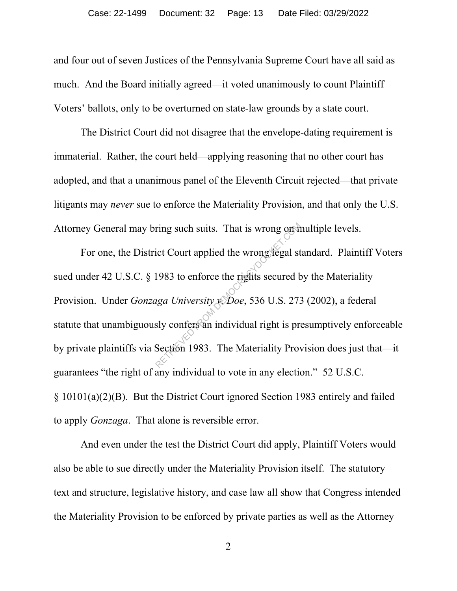and four out of seven Justices of the Pennsylvania Supreme Court have all said as much. And the Board initially agreed—it voted unanimously to count Plaintiff Voters' ballots, only to be overturned on state-law grounds by a state court.

The District Court did not disagree that the envelope-dating requirement is immaterial. Rather, the court held—applying reasoning that no other court has adopted, and that a unanimous panel of the Eleventh Circuit rejected—that private litigants may *never* sue to enforce the Materiality Provision, and that only the U.S. Attorney General may bring such suits. That is wrong on multiple levels.

For one, the District Court applied the wrong legal standard. Plaintiff Voters sued under 42 U.S.C. § 1983 to enforce the rights secured by the Materiality Provision. Under *Gonzaga University v. Doe*, 536 U.S. 273 (2002), a federal statute that unambiguously confers an individual right is presumptively enforceable by private plaintiffs via Section 1983. The Materiality Provision does just that—it guarantees "the right of any individual to vote in any election." 52 U.S.C. § 10101(a)(2)(B). But the District Court ignored Section 1983 entirely and failed to apply *Gonzaga*. That alone is reversible error. ring such suits. That is wrong og the light secured is<br>interesting to enforce the rights secured by<br>the research of the rights secured by<br>the confersion individual right is profection 1983. The Materiality Propose

And even under the test the District Court did apply, Plaintiff Voters would also be able to sue directly under the Materiality Provision itself. The statutory text and structure, legislative history, and case law all show that Congress intended the Materiality Provision to be enforced by private parties as well as the Attorney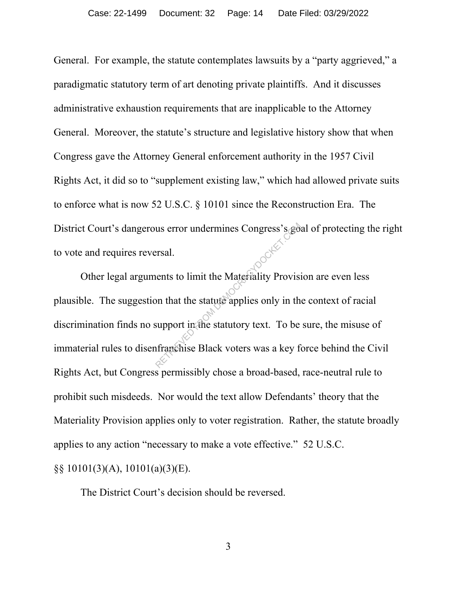General. For example, the statute contemplates lawsuits by a "party aggrieved," a paradigmatic statutory term of art denoting private plaintiffs. And it discusses administrative exhaustion requirements that are inapplicable to the Attorney General. Moreover, the statute's structure and legislative history show that when Congress gave the Attorney General enforcement authority in the 1957 Civil Rights Act, it did so to "supplement existing law," which had allowed private suits to enforce what is now 52 U.S.C. § 10101 since the Reconstruction Era. The District Court's dangerous error undermines Congress's goal of protecting the right to vote and requires reversal.

Other legal arguments to limit the Materiality Provision are even less plausible. The suggestion that the statute applies only in the context of racial discrimination finds no support in the statutory text. To be sure, the misuse of immaterial rules to disenfranchise Black voters was a key force behind the Civil Rights Act, but Congress permissibly chose a broad-based, race-neutral rule to prohibit such misdeeds. Nor would the text allow Defendants' theory that the Materiality Provision applies only to voter registration. Rather, the statute broadly applies to any action "necessary to make a vote effective." 52 U.S.C. The State of Seconds Triangle Seconds to limit the Materiality Provision<br>that the statute applies only in the support in the statutory text. To be the statutory text. To be the statutory text as a key for the statutory tex

§§ 10101(3)(A), 10101(a)(3)(E).

The District Court's decision should be reversed.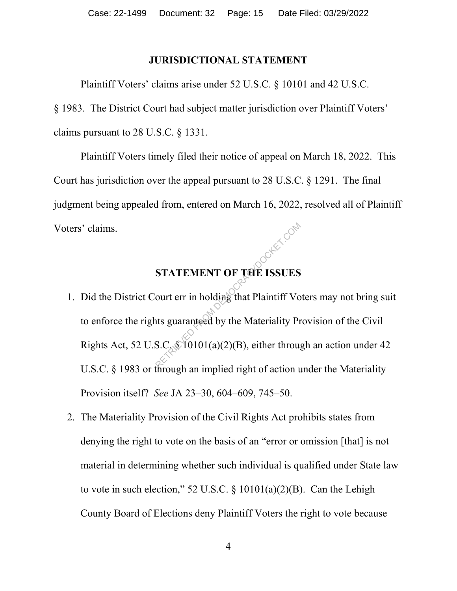#### **JURISDICTIONAL STATEMENT**

Plaintiff Voters' claims arise under 52 U.S.C. § 10101 and 42 U.S.C.

§ 1983. The District Court had subject matter jurisdiction over Plaintiff Voters' claims pursuant to 28 U.S.C. § 1331.

Plaintiff Voters timely filed their notice of appeal on March 18, 2022. This Court has jurisdiction over the appeal pursuant to 28 U.S.C. § 1291. The final judgment being appealed from, entered on March 16, 2022, resolved all of Plaintiff Voters' claims.

## **STATEMENT OF THE ISSUES**

- 1. Did the District Court err in holding that Plaintiff Voters may not bring suit to enforce the rights guaranteed by the Materiality Provision of the Civil Rights Act, 52 U.S.C.  $$10101(a)(2)(B)$ , either through an action under 42 U.S.C. § 1983 or through an implied right of action under the Materiality Provision itself? *See* JA 23–30, 604–609, 745–50. STATEMENT OF THE ISSUES<br>
ourt err in holding that Plaintiff Vo<br>
the Materiality Pr<br>
S.C. (20101(a)(2)(B), either through
- 2. The Materiality Provision of the Civil Rights Act prohibits states from denying the right to vote on the basis of an "error or omission [that] is not material in determining whether such individual is qualified under State law to vote in such election," 52 U.S.C.  $\S$  10101(a)(2)(B). Can the Lehigh County Board of Elections deny Plaintiff Voters the right to vote because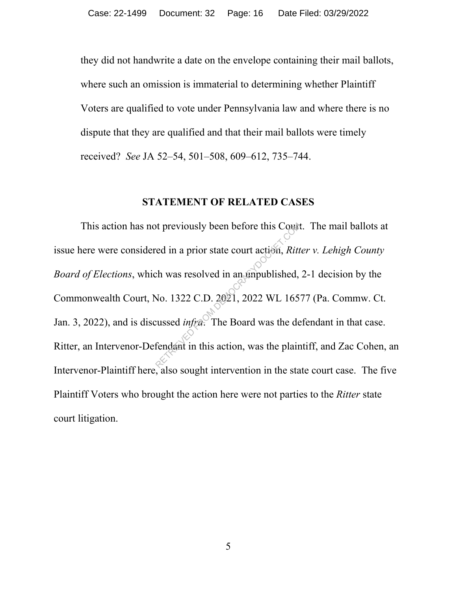they did not handwrite a date on the envelope containing their mail ballots, where such an omission is immaterial to determining whether Plaintiff Voters are qualified to vote under Pennsylvania law and where there is no dispute that they are qualified and that their mail ballots were timely received? *See* JA 52–54, 501–508, 609–612, 735–744.

#### **STATEMENT OF RELATED CASES**

This action has not previously been before this Court. The mail ballots at issue here were considered in a prior state court action, *Ritter v. Lehigh County Board of Elections*, which was resolved in an unpublished, 2-1 decision by the Commonwealth Court, No. 1322 C.D. 2021, 2022 WL 16577 (Pa. Commw. Ct. Jan. 3, 2022), and is discussed *infra*. The Board was the defendant in that case. Ritter, an Intervenor-Defendant in this action, was the plaintiff, and Zac Cohen, an Intervenor-Plaintiff here, also sought intervention in the state court case. The five Plaintiff Voters who brought the action here were not parties to the *Ritter* state court litigation. of the previously been before this Count<br>
ed in a prior state court action, *Ritt*<br>
ch was resolved in an unpublished,<br>
No. 1322 C.D. 2021, 2022 WL 165<sup>6</sup><br>
cussed *infra*. The Board was the de<br>
fendant in this action, was

5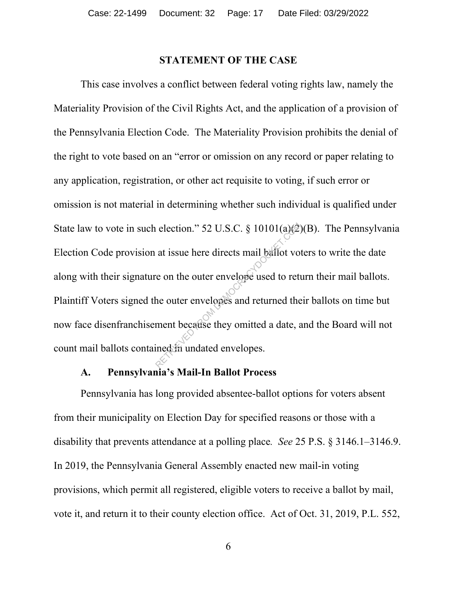#### **STATEMENT OF THE CASE**

This case involves a conflict between federal voting rights law, namely the Materiality Provision of the Civil Rights Act, and the application of a provision of the Pennsylvania Election Code. The Materiality Provision prohibits the denial of the right to vote based on an "error or omission on any record or paper relating to any application, registration, or other act requisite to voting, if such error or omission is not material in determining whether such individual is qualified under State law to vote in such election." 52 U.S.C. § 10101(a) $(2)(B)$ . The Pennsylvania Election Code provision at issue here directs mail ballot voters to write the date along with their signature on the outer envelope used to return their mail ballots. Plaintiff Voters signed the outer envelopes and returned their ballots on time but now face disenfranchisement because they omitted a date, and the Board will not count mail ballots contained in undated envelopes. relation." 52 U.S.C. § 10101(a) $\frac{2}{3}$ <br>at issue here directs mail ballot vo<br>re on the outer envelope used to rett<br>he outer envelopes and returned the<br>ment because they omitted a date, a<br>ined in undated envelopes.

#### **A. Pennsylvania's Mail-In Ballot Process**

Pennsylvania has long provided absentee-ballot options for voters absent from their municipality on Election Day for specified reasons or those with a disability that prevents attendance at a polling place*. See* 25 P.S. § 3146.1–3146.9. In 2019, the Pennsylvania General Assembly enacted new mail-in voting provisions, which permit all registered, eligible voters to receive a ballot by mail, vote it, and return it to their county election office. Act of Oct. 31, 2019, P.L. 552,

6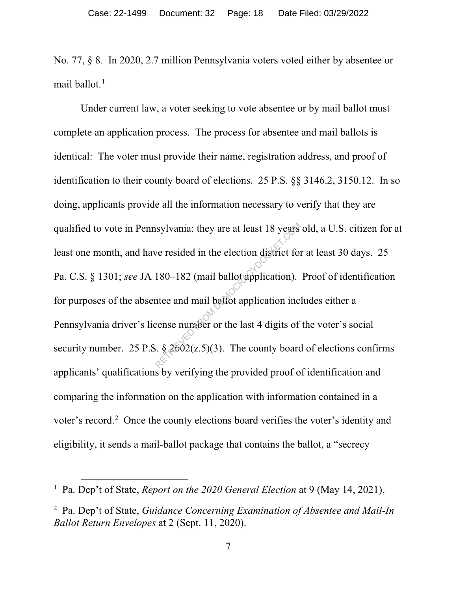No. 77, § 8. In 2020, 2.7 million Pennsylvania voters voted either by absentee or mail ballot. 1

Under current law, a voter seeking to vote absentee or by mail ballot must complete an application process. The process for absentee and mail ballots is identical: The voter must provide their name, registration address, and proof of identification to their county board of elections. 25 P.S. §§ 3146.2, 3150.12. In so doing, applicants provide all the information necessary to verify that they are qualified to vote in Pennsylvania: they are at least 18 years old, a U.S. citizen for at least one month, and have resided in the election district for at least 30 days. 25 Pa. C.S. § 1301; see JA 180-182 (mail ballot application). Proof of identification for purposes of the absentee and mail ballot application includes either a Pennsylvania driver's license number or the last 4 digits of the voter's social security number. 25 P.S.  $\S$  2602(z.5)(3). The county board of elections confirms applicants' qualifications by verifying the provided proof of identification and comparing the information on the application with information contained in a voter's record.<sup>2</sup> Once the county elections board verifies the voter's identity and eligibility, it sends a mail-ballot package that contains the ballot, a "secrecy Sylvania: they are at least 18 years<br>
ve resided in the election district for<br>
180–182 (mail ballot application).<br>
thee and mail ballot application inc<br>
cense number or the last 4 digits of<br>  $\therefore$  § 2602(z.5)(3). The coun

<sup>&</sup>lt;sup>1</sup> Pa. Dep't of State, *Report on the 2020 General Election* at 9 (May 14, 2021),

<sup>2</sup> Pa. Dep't of State, *Guidance Concerning Examination of Absentee and Mail-In Ballot Return Envelopes* at 2 (Sept. 11, 2020).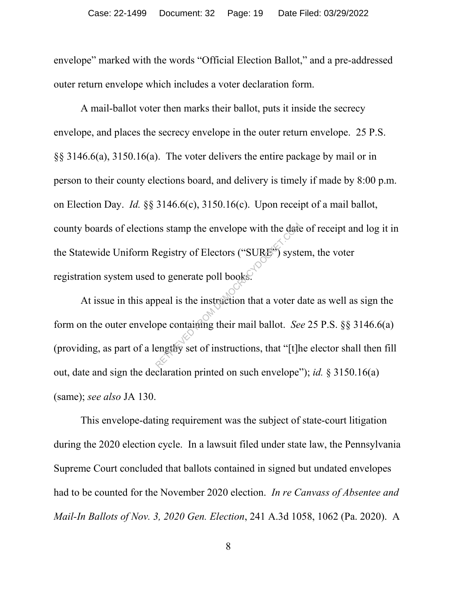envelope" marked with the words "Official Election Ballot," and a pre-addressed outer return envelope which includes a voter declaration form.

A mail-ballot voter then marks their ballot, puts it inside the secrecy envelope, and places the secrecy envelope in the outer return envelope. 25 P.S. §§ 3146.6(a), 3150.16(a). The voter delivers the entire package by mail or in person to their county elections board, and delivery is timely if made by 8:00 p.m. on Election Day. *Id.* §§ 3146.6(c), 3150.16(c). Upon receipt of a mail ballot, county boards of elections stamp the envelope with the date of receipt and log it in the Statewide Uniform Registry of Electors ("SURE") system, the voter registration system used to generate poll books.

At issue in this appeal is the instruction that a voter date as well as sign the form on the outer envelope containing their mail ballot. *See* 25 P.S. §§ 3146.6(a) (providing, as part of a lengthy set of instructions, that "[t]he elector shall then fill out, date and sign the declaration printed on such envelope"); *id.* § 3150.16(a) (same); *see also* JA 130. In the envelope with the date<br>
Registry of Electors ("SURE") syste<br>
to generate poll books.<br>
peal is the instruction that a voter dope containing their mail ballot. See<br>
engthy set of instructions, that "[t] peak

This envelope-dating requirement was the subject of state-court litigation during the 2020 election cycle. In a lawsuit filed under state law, the Pennsylvania Supreme Court concluded that ballots contained in signed but undated envelopes had to be counted for the November 2020 election. *In re Canvass of Absentee and Mail-In Ballots of Nov. 3, 2020 Gen. Election*, 241 A.3d 1058, 1062 (Pa. 2020). A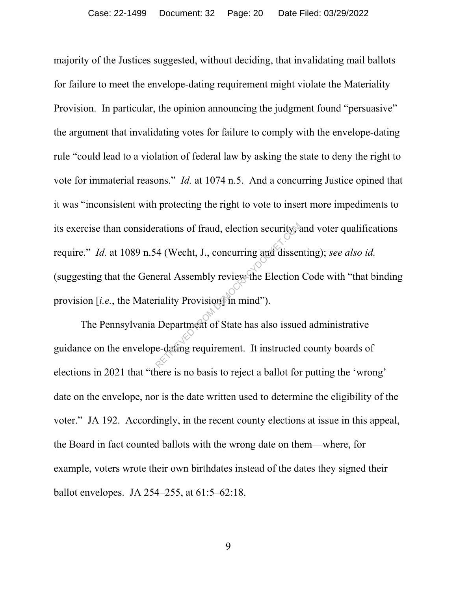majority of the Justices suggested, without deciding, that invalidating mail ballots for failure to meet the envelope-dating requirement might violate the Materiality Provision. In particular, the opinion announcing the judgment found "persuasive" the argument that invalidating votes for failure to comply with the envelope-dating rule "could lead to a violation of federal law by asking the state to deny the right to vote for immaterial reasons." *Id.* at 1074 n.5. And a concurring Justice opined that it was "inconsistent with protecting the right to vote to insert more impediments to its exercise than considerations of fraud, election security, and voter qualifications require." *Id.* at 1089 n.54 (Wecht, J., concurring and dissenting); *see also id.* (suggesting that the General Assembly review the Election Code with "that binding provision [*i.e.*, the Materiality Provision in mind"). rations of fraud, election security.<br>
4 (Wecht, J., concurring and disser<br>
eral Assembly review the Election<br>
riality Provisions in mind").<br>
Department of State has also issue<br>
e-dating requirement. It instructed

The Pennsylvania Department of State has also issued administrative guidance on the envelope-dating requirement. It instructed county boards of elections in 2021 that "there is no basis to reject a ballot for putting the 'wrong' date on the envelope, nor is the date written used to determine the eligibility of the voter." JA 192. Accordingly, in the recent county elections at issue in this appeal, the Board in fact counted ballots with the wrong date on them—where, for example, voters wrote their own birthdates instead of the dates they signed their ballot envelopes. JA 254–255, at 61:5–62:18.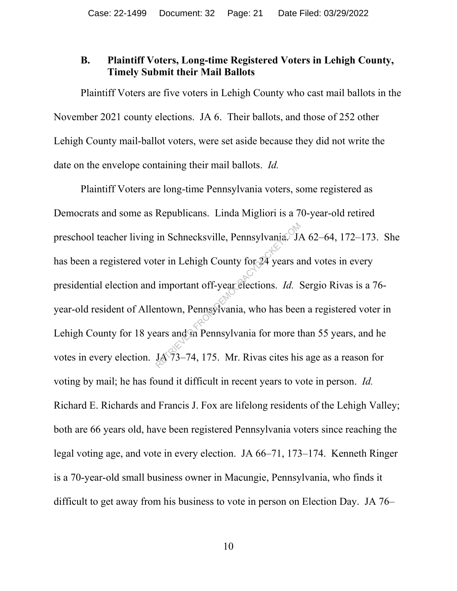#### **B. Plaintiff Voters, Long-time Registered Voters in Lehigh County, Timely Submit their Mail Ballots**

Plaintiff Voters are five voters in Lehigh County who cast mail ballots in the November 2021 county elections. JA 6. Their ballots, and those of 252 other Lehigh County mail-ballot voters, were set aside because they did not write the date on the envelope containing their mail ballots. *Id.*

Plaintiff Voters are long-time Pennsylvania voters, some registered as Democrats and some as Republicans. Linda Migliori is a 70-year-old retired preschool teacher living in Schnecksville, Pennsylvania. JA 62–64, 172–173. She has been a registered voter in Lehigh County for 24 years and votes in every presidential election and important off-year elections. *Id.* Sergio Rivas is a 76 year-old resident of Allentown, Pennsylvania, who has been a registered voter in Lehigh County for 18 years and in Pennsylvania for more than 55 years, and he votes in every election. JA 73–74, 175. Mr. Rivas cites his age as a reason for voting by mail; he has found it difficult in recent years to vote in person. *Id.* Richard E. Richards and Francis J. Fox are lifelong residents of the Lehigh Valley; both are 66 years old, have been registered Pennsylvania voters since reaching the legal voting age, and vote in every election. JA 66–71, 173–174. Kenneth Ringer is a 70-year-old small business owner in Macungie, Pennsylvania, who finds it difficult to get away from his business to vote in person on Election Day. JA 76– in Schnecksville, Pennsylvania.  $J$ <br>ter in Lehigh County for 24 years a<br>important off-year elections. *Id.*<br>entown, Pennsylvania, who has been<br>ears and in Pennsylvania for more the UA 73–74, 175. Mr. Rivas cites his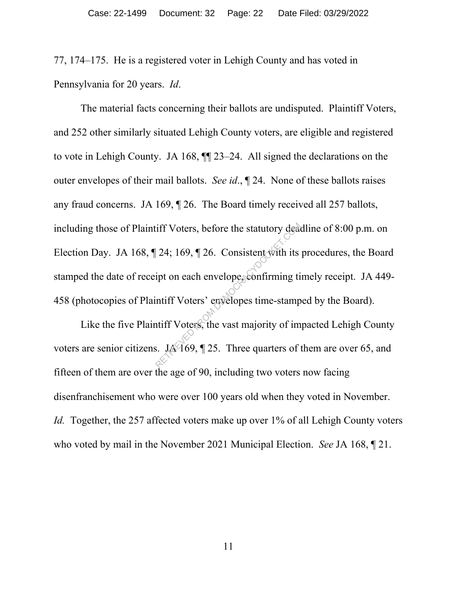77, 174–175. He is a registered voter in Lehigh County and has voted in Pennsylvania for 20 years. *Id*.

The material facts concerning their ballots are undisputed. Plaintiff Voters, and 252 other similarly situated Lehigh County voters, are eligible and registered to vote in Lehigh County. JA 168, ¶¶ 23–24. All signed the declarations on the outer envelopes of their mail ballots. *See id*., ¶ 24. None of these ballots raises any fraud concerns. JA 169, ¶ 26. The Board timely received all 257 ballots, including those of Plaintiff Voters, before the statutory deadline of 8:00 p.m. on Election Day. JA 168,  $\P$  24; 169,  $\P$  26. Consistent with its procedures, the Board stamped the date of receipt on each envelope, confirming timely receipt. JA 449-458 (photocopies of Plaintiff Voters' envelopes time-stamped by the Board). The statutory deals<br>
24, 169, 126. Consistent with its<br>
ipt on each envelope, confirming tilth<br>
intiff Voters' envelopes time-stamp<br>
intiff Voters, the vast majority of im<br>
3. JA 169, 125. Three quarters of

Like the five Plaintiff Voters, the vast majority of impacted Lehigh County voters are senior citizens. JA 169,  $\parallel$  25. Three quarters of them are over 65, and fifteen of them are over the age of 90, including two voters now facing disenfranchisement who were over 100 years old when they voted in November. *Id.* Together, the 257 affected voters make up over 1% of all Lehigh County voters who voted by mail in the November 2021 Municipal Election. *See* JA 168, ¶ 21.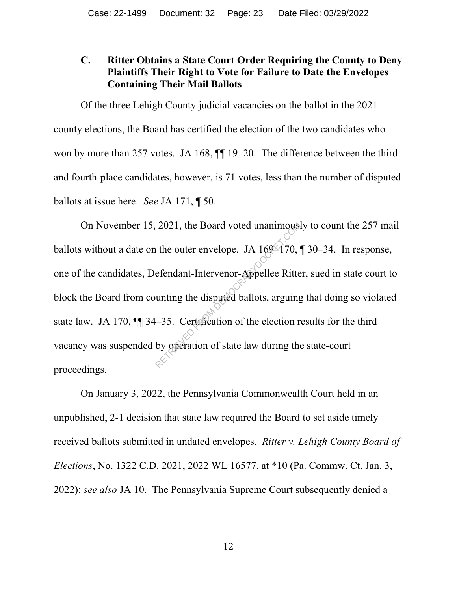#### **C. Ritter Obtains a State Court Order Requiring the County to Deny Plaintiffs Their Right to Vote for Failure to Date the Envelopes Containing Their Mail Ballots**

Of the three Lehigh County judicial vacancies on the ballot in the 2021 county elections, the Board has certified the election of the two candidates who won by more than 257 votes. JA 168,  $\P$  19–20. The difference between the third and fourth-place candidates, however, is 71 votes, less than the number of disputed ballots at issue here. *See* JA 171, ¶ 50.

On November 15, 2021, the Board voted unanimously to count the 257 mail ballots without a date on the outer envelope. JA  $169-170$ ,  $130-34$ . In response, one of the candidates, Defendant-Intervenor-Appellee Ritter, sued in state court to block the Board from counting the disputed ballots, arguing that doing so violated state law. JA 170, ¶¶ 34–35. Certification of the election results for the third vacancy was suspended by operation of state law during the state-court proceedings. 2021, the Board voted unanimous<br>
1 the outer envelope. JA  $169-170$ ,<br>
efendant-Intervenor-Appellee Ritte<br>
unting the disputed ballots, arguing<br>  $-35$ . Certification of the election r<br>
by ogeration of state law during the

On January 3, 2022, the Pennsylvania Commonwealth Court held in an unpublished, 2-1 decision that state law required the Board to set aside timely received ballots submitted in undated envelopes. *Ritter v. Lehigh County Board of Elections*, No. 1322 C.D. 2021, 2022 WL 16577, at \*10 (Pa. Commw. Ct. Jan. 3, 2022); *see also* JA 10. The Pennsylvania Supreme Court subsequently denied a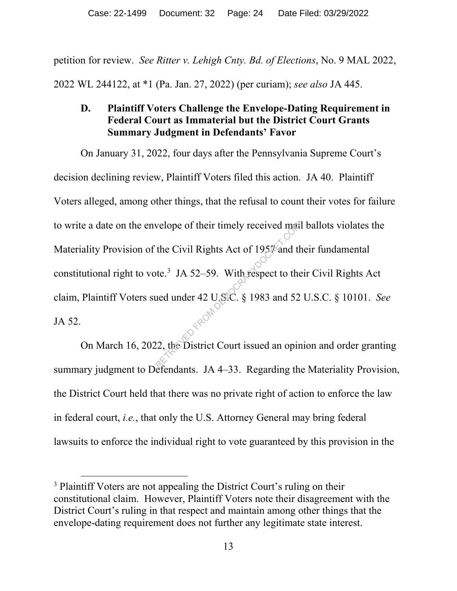petition for review. *See Ritter v. Lehigh Cnty. Bd. of Elections*, No. 9 MAL 2022, 2022 WL 244122, at \*1 (Pa. Jan. 27, 2022) (per curiam); *see also* JA 445.

#### **D. Plaintiff Voters Challenge the Envelope-Dating Requirement in Federal Court as Immaterial but the District Court Grants Summary Judgment in Defendants' Favor**

On January 31, 2022, four days after the Pennsylvania Supreme Court's decision declining review, Plaintiff Voters filed this action. JA 40. Plaintiff Voters alleged, among other things, that the refusal to count their votes for failure to write a date on the envelope of their timely received mail ballots violates the Materiality Provision of the Civil Rights Act of 1957 and their fundamental constitutional right to vote.<sup>3</sup> JA 52–59. With respect to their Civil Rights Act claim, Plaintiff Voters sued under 42 U.S.C. § 1983 and 52 U.S.C. § 10101. *See* JA 52. welope of their timely received max<br>the Civil Rights Act of 195# and the<br>te.<sup>3</sup> JA 52–59. With respect to the<br>ued under 42 U.S.C. § 1983 and 52<br>22, the District Court issued an opin

On March 16, 2022, the District Court issued an opinion and order granting summary judgment to Defendants. JA 4–33. Regarding the Materiality Provision, the District Court held that there was no private right of action to enforce the law in federal court, *i.e.*, that only the U.S. Attorney General may bring federal lawsuits to enforce the individual right to vote guaranteed by this provision in the

<sup>&</sup>lt;sup>3</sup> Plaintiff Voters are not appealing the District Court's ruling on their constitutional claim. However, Plaintiff Voters note their disagreement with the District Court's ruling in that respect and maintain among other things that the envelope-dating requirement does not further any legitimate state interest.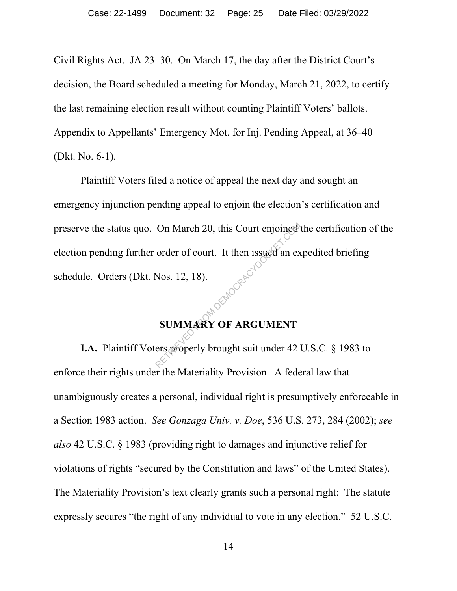Civil Rights Act. JA 23–30. On March 17, the day after the District Court's decision, the Board scheduled a meeting for Monday, March 21, 2022, to certify the last remaining election result without counting Plaintiff Voters' ballots. Appendix to Appellants' Emergency Mot. for Inj. Pending Appeal, at 36–40 (Dkt. No. 6-1).

Plaintiff Voters filed a notice of appeal the next day and sought an emergency injunction pending appeal to enjoin the election's certification and preserve the status quo. On March 20, this Court enjoined the certification of the election pending further order of court. It then issued an expedited briefing schedule. Orders (Dkt. Nos. 12, 18). On March 20, this Court enjoined<br>order of court. It then issued an ex<br>Nos. 12, 18).<br>SUMMARY OF ARGUMENT<br>ers properly brought suit under 42

#### **SUMMARY OF ARGUMENT**

**I.A.** Plaintiff Voters properly brought suit under 42 U.S.C. § 1983 to enforce their rights under the Materiality Provision. A federal law that unambiguously creates a personal, individual right is presumptively enforceable in a Section 1983 action. *See Gonzaga Univ. v. Doe*, 536 U.S. 273, 284 (2002); *see also* 42 U.S.C. § 1983 (providing right to damages and injunctive relief for violations of rights "secured by the Constitution and laws" of the United States). The Materiality Provision's text clearly grants such a personal right: The statute expressly secures "the right of any individual to vote in any election." 52 U.S.C.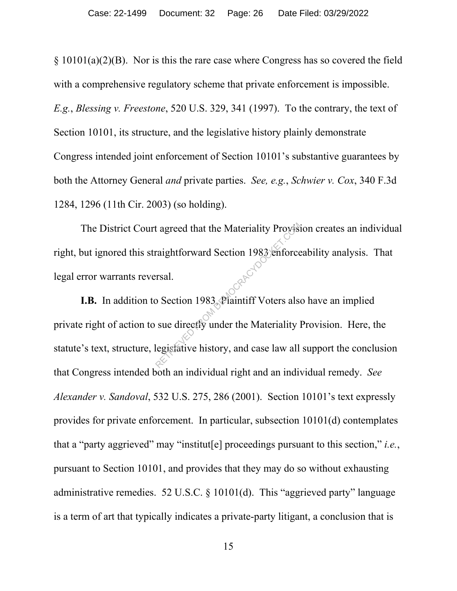§ 10101(a)(2)(B). Nor is this the rare case where Congress has so covered the field with a comprehensive regulatory scheme that private enforcement is impossible. *E.g.*, *Blessing v. Freestone*, 520 U.S. 329, 341 (1997). To the contrary, the text of Section 10101, its structure, and the legislative history plainly demonstrate Congress intended joint enforcement of Section 10101's substantive guarantees by both the Attorney General *and* private parties. *See, e.g.*, *Schwier v. Cox*, 340 F.3d 1284, 1296 (11th Cir. 2003) (so holding).

The District Court agreed that the Materiality Provision creates an individual right, but ignored this straightforward Section 1983 enforceability analysis. That legal error warrants reversal.

**I.B.** In addition to Section 1983, Plaintiff Voters also have an implied private right of action to sue directly under the Materiality Provision. Here, the statute's text, structure, legislative history, and case law all support the conclusion that Congress intended both an individual right and an individual remedy. *See Alexander v. Sandoval*, 532 U.S. 275, 286 (2001). Section 10101's text expressly provides for private enforcement. In particular, subsection 10101(d) contemplates that a "party aggrieved" may "institut[e] proceedings pursuant to this section," *i.e.*, pursuant to Section 10101, and provides that they may do so without exhausting administrative remedies. 52 U.S.C. § 10101(d). This "aggrieved party" language is a term of art that typically indicates a private-party litigant, a conclusion that is raightforward Section 1983 enforce<br>
rsal.<br>
Section 1983 Plaintiff Voters also<br>
sue directly under the Materiality legislative history, and case law all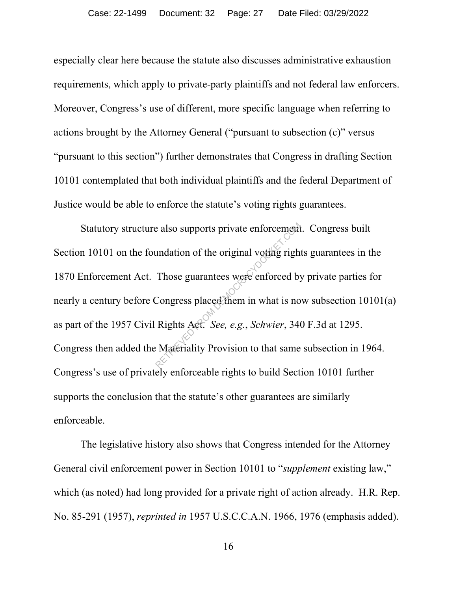especially clear here because the statute also discusses administrative exhaustion requirements, which apply to private-party plaintiffs and not federal law enforcers. Moreover, Congress's use of different, more specific language when referring to actions brought by the Attorney General ("pursuant to subsection (c)" versus "pursuant to this section") further demonstrates that Congress in drafting Section 10101 contemplated that both individual plaintiffs and the federal Department of Justice would be able to enforce the statute's voting rights guarantees.

Statutory structure also supports private enforcement. Congress built Section 10101 on the foundation of the original voting rights guarantees in the 1870 Enforcement Act. Those guarantees were enforced by private parties for nearly a century before Congress placed them in what is now subsection 10101(a) as part of the 1957 Civil Rights Act. *See, e.g.*, *Schwier*, 340 F.3d at 1295. Congress then added the Materiality Provision to that same subsection in 1964. Congress's use of privately enforceable rights to build Section 10101 further supports the conclusion that the statute's other guarantees are similarly enforceable. Expediant and a supports private enforcement<br>
undation of the original voting righ<br>
Those guarantees were enforced by<br>
Congress placed them in what is no<br>
Rights Act. See, e.g., Schwier, 34

The legislative history also shows that Congress intended for the Attorney General civil enforcement power in Section 10101 to "*supplement* existing law," which (as noted) had long provided for a private right of action already. H.R. Rep. No. 85-291 (1957), *reprinted in* 1957 U.S.C.C.A.N. 1966, 1976 (emphasis added).

16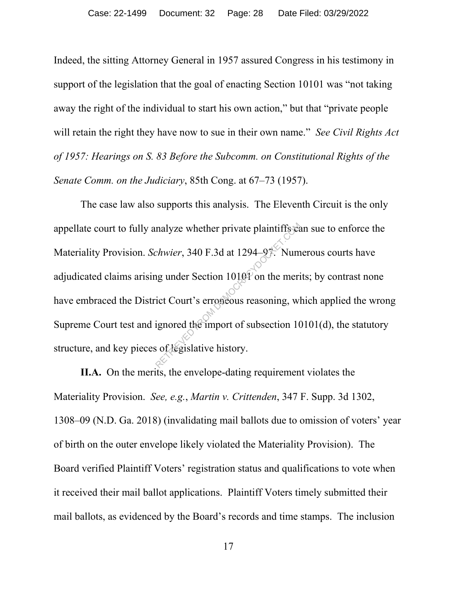Indeed, the sitting Attorney General in 1957 assured Congress in his testimony in support of the legislation that the goal of enacting Section 10101 was "not taking away the right of the individual to start his own action," but that "private people will retain the right they have now to sue in their own name." *See Civil Rights Act of 1957: Hearings on S. 83 Before the Subcomm. on Constitutional Rights of the Senate Comm. on the Judiciary*, 85th Cong. at 67–73 (1957).

The case law also supports this analysis. The Eleventh Circuit is the only appellate court to fully analyze whether private plaintiffs can sue to enforce the Materiality Provision. *Schwier*, 340 F.3d at 1294–97. Numerous courts have adjudicated claims arising under Section 1010<sup>0</sup> on the merits; by contrast none have embraced the District Court's erroneous reasoning, which applied the wrong Supreme Court test and ignored the import of subsection  $10101(d)$ , the statutory structure, and key pieces of legislative history. malyze whether private plaintiffs of<br>
chwier, 340 F.3d at 1294–97. Num<br>
ng under Section 1010<sup>0</sup> on the meri<br>
ict Court's erroneous reasoning, wl<br>
ignored the import of subsection 10<br>
s of legislative history.

**II.A.** On the merits, the envelope-dating requirement violates the Materiality Provision. *See, e.g.*, *Martin v. Crittenden*, 347 F. Supp. 3d 1302, 1308–09 (N.D. Ga. 2018) (invalidating mail ballots due to omission of voters' year of birth on the outer envelope likely violated the Materiality Provision). The Board verified Plaintiff Voters' registration status and qualifications to vote when it received their mail ballot applications. Plaintiff Voters timely submitted their mail ballots, as evidenced by the Board's records and time stamps. The inclusion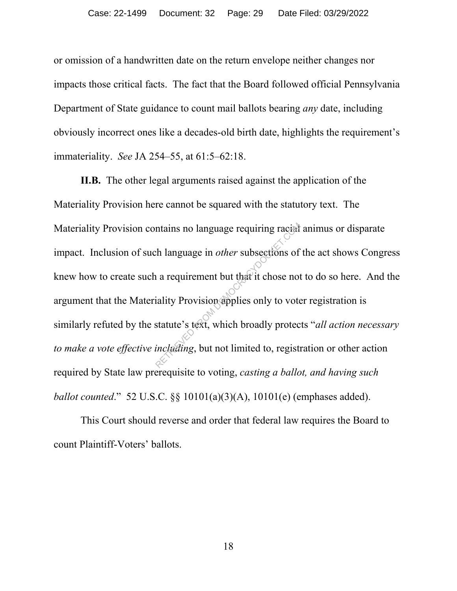or omission of a handwritten date on the return envelope neither changes nor impacts those critical facts. The fact that the Board followed official Pennsylvania Department of State guidance to count mail ballots bearing *any* date, including obviously incorrect ones like a decades-old birth date, highlights the requirement's immateriality. *See* JA 254–55, at 61:5–62:18.

**II.B.** The other legal arguments raised against the application of the Materiality Provision here cannot be squared with the statutory text. The Materiality Provision contains no language requiring racial animus or disparate impact. Inclusion of such language in *other* subsections of the act shows Congress knew how to create such a requirement but that it chose not to do so here. And the argument that the Materiality Provision applies only to voter registration is similarly refuted by the statute's text, which broadly protects "*all action necessary to make a vote effective including*, but not limited to, registration or other action required by State law prerequisite to voting, *casting a ballot, and having such ballot counted*." 52 U.S.C. §§ 10101(a)(3)(A), 10101(e) (emphases added). The language in *other* subsections of<br>the language in *other* subsections of<br>a requirement but that it chose not<br>iality Provision applies only to vote<br>statute's text, which broadly protec<br>including, but not limited to, re

This Court should reverse and order that federal law requires the Board to count Plaintiff-Voters' ballots.

18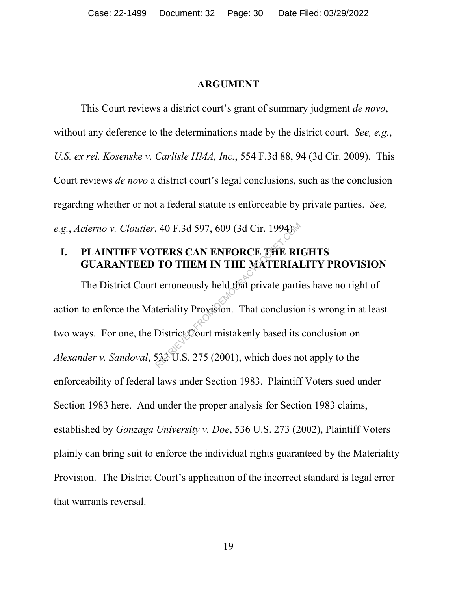#### **ARGUMENT**

This Court reviews a district court's grant of summary judgment *de novo*, without any deference to the determinations made by the district court. *See, e.g.*, *U.S. ex rel. Kosenske v. Carlisle HMA, Inc.*, 554 F.3d 88, 94 (3d Cir. 2009). This Court reviews *de novo* a district court's legal conclusions, such as the conclusion regarding whether or not a federal statute is enforceable by private parties. *See, e.g.*, *Acierno v. Cloutier*, 40 F.3d 597, 609 (3d Cir. 1994).

#### **I. PLAINTIFF VOTERS CAN ENFORCE THE RIGHTS GUARANTEED TO THEM IN THE MATERIALITY PROVISION**

The District Court erroneously held that private parties have no right of action to enforce the Materiality Provision. That conclusion is wrong in at least two ways. For one, the District Court mistakenly based its conclusion on *Alexander v. Sandoval*, 532 U.S. 275 (2001), which does not apply to the enforceability of federal laws under Section 1983. Plaintiff Voters sued under Section 1983 here. And under the proper analysis for Section 1983 claims, established by *Gonzaga University v. Doe*, 536 U.S. 273 (2002), Plaintiff Voters plainly can bring suit to enforce the individual rights guaranteed by the Materiality Provision. The District Court's application of the incorrect standard is legal error that warrants reversal. 40 F.3d 597, 609 (3d Cir. 1994)<br>
TERS CAN ENFORCE THE RI<br>
TO THEM IN THE MATERIAL<br>
t erroneously held that private parti<br>
teriality Provision. That conclusio<br>
District Court mistakenly based its<br>
532 U.S. 275 (2001), which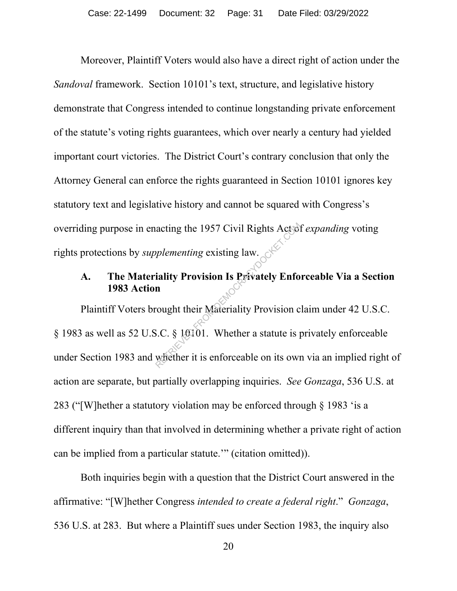Moreover, Plaintiff Voters would also have a direct right of action under the *Sandoval* framework. Section 10101's text, structure, and legislative history demonstrate that Congress intended to continue longstanding private enforcement of the statute's voting rights guarantees, which over nearly a century had yielded important court victories. The District Court's contrary conclusion that only the Attorney General can enforce the rights guaranteed in Section 10101 ignores key statutory text and legislative history and cannot be squared with Congress's overriding purpose in enacting the 1957 Civil Rights Act of *expanding* voting rights protections by *supplementing* existing law.

#### **A. The Materiality Provision Is Privately Enforceable Via a Section 1983 Action**

Plaintiff Voters brought their Materiality Provision claim under 42 U.S.C. § 1983 as well as 52 U.S.C. § 10101. Whether a statute is privately enforceable under Section 1983 and whether it is enforceable on its own via an implied right of action are separate, but partially overlapping inquiries. *See Gonzaga*, 536 U.S. at 283 ("[W]hether a statutory violation may be enforced through § 1983 'is a different inquiry than that involved in determining whether a private right of action can be implied from a particular statute.'" (citation omitted)). Examplementing existing law.<br>
Reflecting existing law.<br>
Solution Is Privately Enforce<br>
n<br>
Represents their Materiality Provision cought their Materiality Provision contracts.<br>
S.C. § 19101. Whether a statute is provision i

Both inquiries begin with a question that the District Court answered in the affirmative: "[W]hether Congress *intended to create a federal right*." *Gonzaga*, 536 U.S. at 283. But where a Plaintiff sues under Section 1983, the inquiry also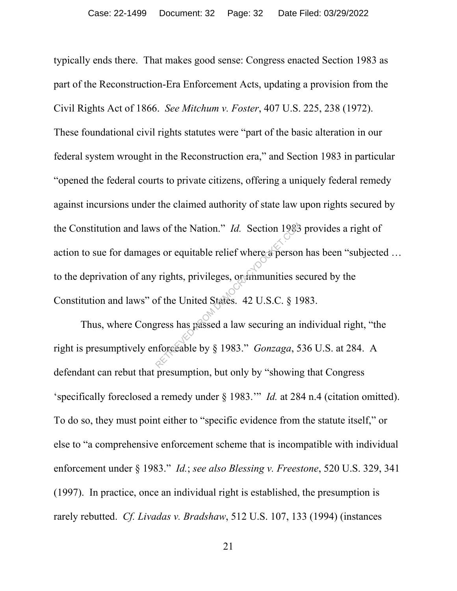typically ends there. That makes good sense: Congress enacted Section 1983 as part of the Reconstruction-Era Enforcement Acts, updating a provision from the Civil Rights Act of 1866. *See Mitchum v. Foster*, 407 U.S. 225, 238 (1972). These foundational civil rights statutes were "part of the basic alteration in our federal system wrought in the Reconstruction era," and Section 1983 in particular "opened the federal courts to private citizens, offering a uniquely federal remedy against incursions under the claimed authority of state law upon rights secured by the Constitution and laws of the Nation." *Id.* Section 1983 provides a right of action to sue for damages or equitable relief where a person has been "subjected ... to the deprivation of any rights, privileges, or immunities secured by the Constitution and laws" of the United States. 42 U.S.C. § 1983. reflexes or equitable relief where a person<br>
rights, privileges, or minunities so<br>
of the United States. 42 U.S.C. § 19<br>
gress has passed a law securing an inforceable by § 1983." *Gonzaga*, 5

Thus, where Congress has passed a law securing an individual right, "the right is presumptively enforceable by § 1983." *Gonzaga*, 536 U.S. at 284. A defendant can rebut that presumption, but only by "showing that Congress 'specifically foreclosed a remedy under § 1983.'" *Id.* at 284 n.4 (citation omitted). To do so, they must point either to "specific evidence from the statute itself," or else to "a comprehensive enforcement scheme that is incompatible with individual enforcement under § 1983." *Id.*; *see also Blessing v. Freestone*, 520 U.S. 329, 341 (1997). In practice, once an individual right is established, the presumption is rarely rebutted. *Cf. Livadas v. Bradshaw*, 512 U.S. 107, 133 (1994) (instances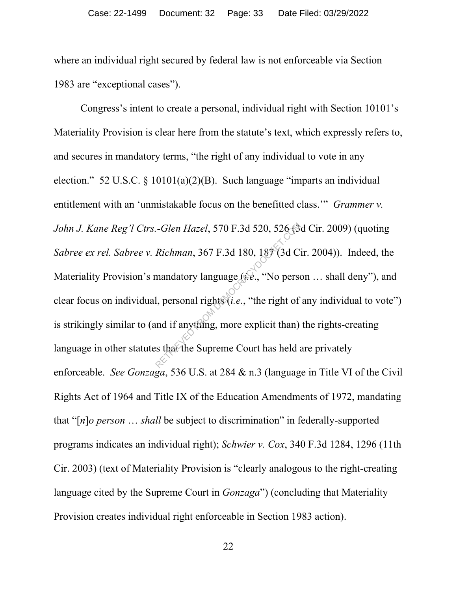where an individual right secured by federal law is not enforceable via Section 1983 are "exceptional cases").

Congress's intent to create a personal, individual right with Section 10101's Materiality Provision is clear here from the statute's text, which expressly refers to, and secures in mandatory terms, "the right of any individual to vote in any election." 52 U.S.C.  $\frac{$10101(a)(2)(B)}{B}$ . Such language "imparts an individual entitlement with an 'unmistakable focus on the benefitted class.'" *Grammer v. John J. Kane Reg'l Ctrs.-Glen Hazel*, 570 F.3d 520, 526 (3d Cir. 2009) (quoting *Sabree ex rel. Sabree v. Richman*, 367 F.3d 180, 187 (3d Cir. 2004)).Indeed, the Materiality Provision's mandatory language (*i.e*., "No person … shall deny"), and clear focus on individual, personal rights (*i.e*., "the right of any individual to vote") is strikingly similar to (and if anything, more explicit than) the rights-creating language in other statutes that the Supreme Court has held are privately enforceable. *See Gonzaga*, 536 U.S. at 284 & n.3 (language in Title VI of the Civil Rights Act of 1964 and Title IX of the Education Amendments of 1972, mandating that "[*n*]*o person* … *shall* be subject to discrimination" in federally-supported programs indicates an individual right); *Schwier v. Cox*, 340 F.3d 1284, 1296 (11th Cir. 2003) (text of Materiality Provision is "clearly analogous to the right-creating language cited by the Supreme Court in *Gonzaga*") (concluding that Materiality Provision creates individual right enforceable in Section 1983 action). Richman, 367 F.3d 180, 18 (3d C.<br>
Richman, 367 F.3d 180, 18 (3d C.<br>
mandatory language (*i.e.*, "No personal rights *i.e.*, "the right of<br>
al, personal rights *i.e.*, "the right of<br>
and if anything, more explicit than)<br>
s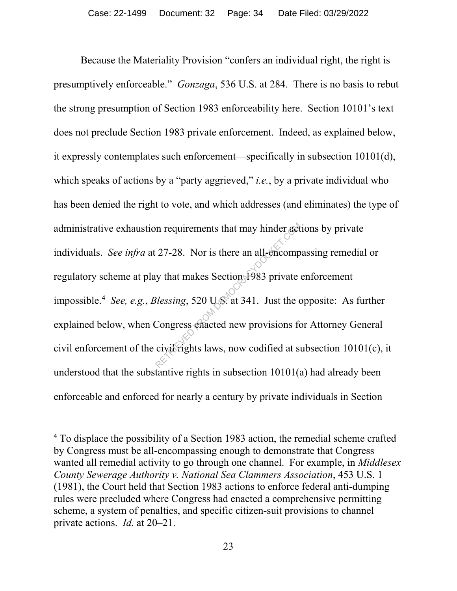Because the Materiality Provision "confers an individual right, the right is presumptively enforceable." *Gonzaga*, 536 U.S. at 284. There is no basis to rebut the strong presumption of Section 1983 enforceability here. Section 10101's text does not preclude Section 1983 private enforcement. Indeed, as explained below, it expressly contemplates such enforcement—specifically in subsection 10101(d), which speaks of actions by a "party aggrieved," *i.e.*, by a private individual who has been denied the right to vote, and which addresses (and eliminates) the type of administrative exhaustion requirements that may hinder actions by private individuals. *See infra* at 27-28. Nor is there an all-encompassing remedial or regulatory scheme at play that makes Section 1983 private enforcement impossible.4 *See, e.g.*, *Blessing*, 520 U.S. at 341. Just the opposite: As further explained below, when Congress enacted new provisions for Attorney General civil enforcement of the civil rights laws, now codified at subsection  $10101(c)$ , it understood that the substantive rights in subsection 10101(a) had already been enforceable and enforced for nearly a century by private individuals in Section In requirements that may hinder and<br>
27-28. Nor is there an all-encomp<br>
y that makes Section 1983 private<br>
Ressing, 520 U.S. at 341. Just the congress enacted new provisions for<br>
civil rights laws, now codified at su

<sup>&</sup>lt;sup>4</sup> To displace the possibility of a Section 1983 action, the remedial scheme crafted by Congress must be all-encompassing enough to demonstrate that Congress wanted all remedial activity to go through one channel. For example, in *Middlesex County Sewerage Authority v. National Sea Clammers Association*, 453 U.S. 1 (1981), the Court held that Section 1983 actions to enforce federal anti-dumping rules were precluded where Congress had enacted a comprehensive permitting scheme, a system of penalties, and specific citizen-suit provisions to channel private actions. *Id.* at 20–21.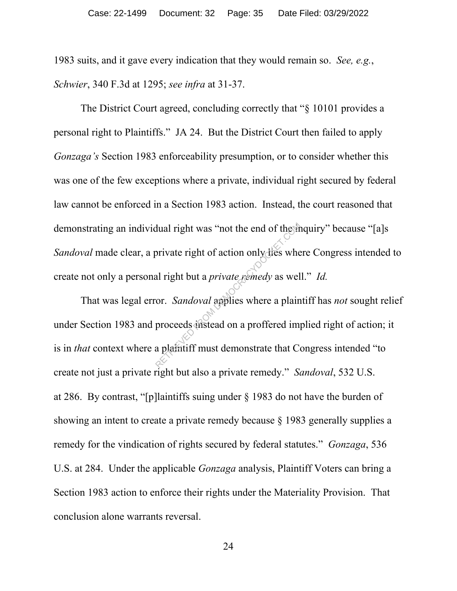1983 suits, and it gave every indication that they would remain so. *See, e.g.*, *Schwier*, 340 F.3d at 1295; *see infra* at 31-37.

The District Court agreed, concluding correctly that "§ 10101 provides a personal right to Plaintiffs." JA 24. But the District Court then failed to apply *Gonzaga's* Section 1983 enforceability presumption, or to consider whether this was one of the few exceptions where a private, individual right secured by federal law cannot be enforced in a Section 1983 action. Instead, the court reasoned that demonstrating an individual right was "not the end of the inquiry" because "[a]s *Sandoval* made clear, a private right of action only lies where Congress intended to create not only a personal right but a *private remedy* as well." *Id.*

That was legal error. *Sandoval* applies where a plaintiff has *not* sought relief under Section 1983 and proceeds instead on a proffered implied right of action; it is in *that* context where a plaintiff must demonstrate that Congress intended "to create not just a private right but also a private remedy." *Sandoval*, 532 U.S. at 286. By contrast, "[p]laintiffs suing under § 1983 do not have the burden of showing an intent to create a private remedy because § 1983 generally supplies a remedy for the vindication of rights secured by federal statutes." *Gonzaga*, 536 U.S. at 284. Under the applicable *Gonzaga* analysis, Plaintiff Voters can bring a Section 1983 action to enforce their rights under the Materiality Provision. That conclusion alone warrants reversal. dual right was "not the end of thesit<br>private right of action only lies where<br>al right but a *private remedy* as well<br>for. *Sandoval* applies where a plain<br>proceeds instead on a proffered imported imported in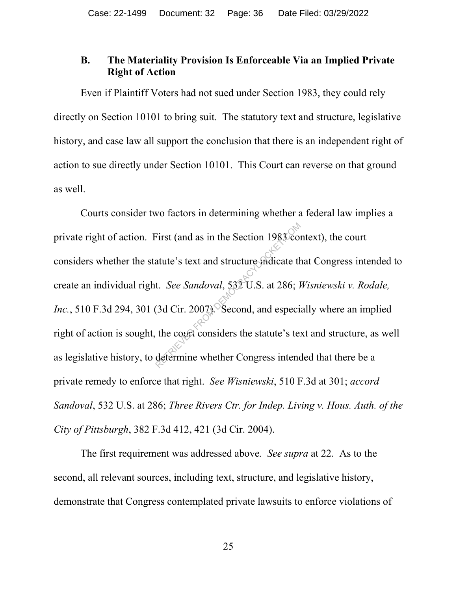#### **B. The Materiality Provision Is Enforceable Via an Implied Private Right of Action**

Even if Plaintiff Voters had not sued under Section 1983, they could rely directly on Section 10101 to bring suit. The statutory text and structure, legislative history, and case law all support the conclusion that there is an independent right of action to sue directly under Section 10101. This Court can reverse on that ground as well.

Courts consider two factors in determining whether a federal law implies a private right of action. First (and as in the Section 1983 context), the court considers whether the statute's text and structure indicate that Congress intended to create an individual right. *See Sandoval*, 532 U.S. at 286; *Wisniewski v. Rodale, Inc.*, 510 F.3d 294, 301 (3d Cir. 2007). Second, and especially where an implied right of action is sought, the court considers the statute's text and structure, as well as legislative history, to determine whether Congress intended that there be a private remedy to enforce that right. *See Wisniewski*, 510 F.3d at 301; *accord Sandoval*, 532 U.S. at 286; *Three Rivers Ctr. for Indep. Living v. Hous. Auth. of the City of Pittsburgh*, 382 F.3d 412, 421 (3d Cir. 2004). First (and as in the Section 1983 conditate 's text and structure indicate the t. See Sandoval, 532 U.S. at 286; lacktrianglerical state over the court considers the statute's text determine whether Congress intended

The first requirement was addressed above*. See supra* at 22. As to the second, all relevant sources, including text, structure, and legislative history, demonstrate that Congress contemplated private lawsuits to enforce violations of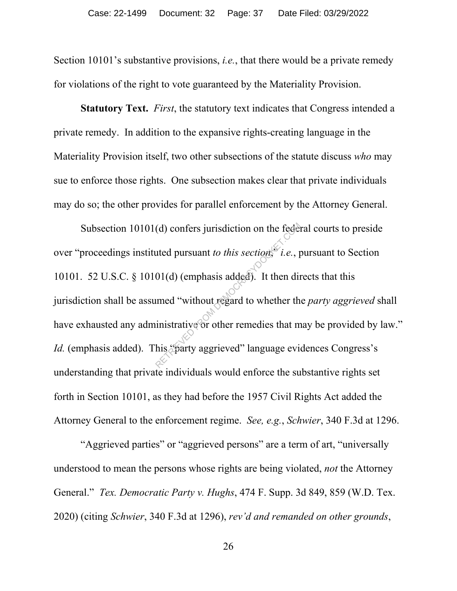Section 10101's substantive provisions, *i.e.*, that there would be a private remedy for violations of the right to vote guaranteed by the Materiality Provision.

**Statutory Text.** *First*, the statutory text indicates that Congress intended a private remedy. In addition to the expansive rights-creating language in the Materiality Provision itself, two other subsections of the statute discuss *who* may sue to enforce those rights. One subsection makes clear that private individuals may do so; the other provides for parallel enforcement by the Attorney General.

Subsection 10101(d) confers jurisdiction on the federal courts to preside over "proceedings instituted pursuant *to this section*," *i.e.*, pursuant to Section 10101. 52 U.S.C. § 10101(d) (emphasis added). It then directs that this jurisdiction shall be assumed "without regard to whether the *party aggrieved* shall have exhausted any administrative or other remedies that may be provided by law." *Id.* (emphasis added). This "party aggrieved" language evidences Congress's understanding that private individuals would enforce the substantive rights set forth in Section 10101, as they had before the 1957 Civil Rights Act added the Attorney General to the enforcement regime. *See, e.g.*, *Schwier*, 340 F.3d at 1296. (d) confers jurisdiction on the federated pursuant *to this section*  $i.e.,$  p<br>01(d) (emphasis added). It then dividend "without regard to whether the inistrative or other remedies that m<br>his sparty aggrieved" language evi-

"Aggrieved parties" or "aggrieved persons" are a term of art, "universally understood to mean the persons whose rights are being violated, *not* the Attorney General." *Tex. Democratic Party v. Hughs*, 474 F. Supp. 3d 849, 859 (W.D. Tex. 2020) (citing *Schwier*, 340 F.3d at 1296), *rev'd and remanded on other grounds*,

26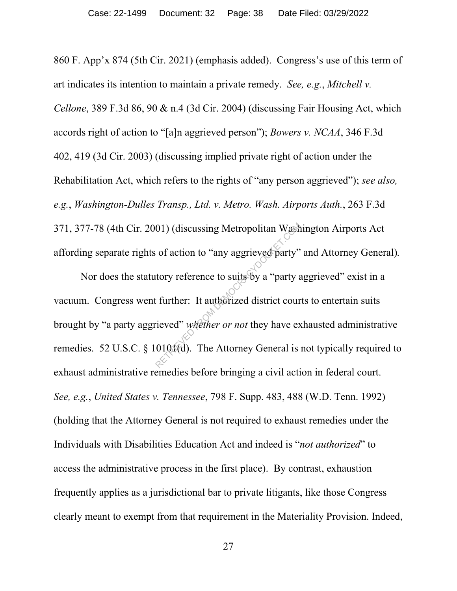860 F. App'x 874 (5th Cir. 2021) (emphasis added). Congress's use of this term of art indicates its intention to maintain a private remedy. *See, e.g.*, *Mitchell v. Cellone*, 389 F.3d 86, 90 & n.4 (3d Cir. 2004) (discussing Fair Housing Act, which accords right of action to "[a]n aggrieved person"); *Bowers v. NCAA*, 346 F.3d 402, 419 (3d Cir. 2003) (discussing implied private right of action under the Rehabilitation Act, which refers to the rights of "any person aggrieved"); *see also, e.g.*, *Washington-Dulles Transp., Ltd. v. Metro. Wash. Airports Auth.*, 263 F.3d 371, 377-78 (4th Cir. 2001) (discussing Metropolitan Washington Airports Act affording separate rights of action to "any aggrieved party" and Attorney General)*.* 

Nor does the statutory reference to suits by a "party aggrieved" exist in a vacuum. Congress went further: It authorized district courts to entertain suits brought by "a party aggrieved" *whether or not* they have exhausted administrative remedies. 52 U.S.C. § 10101(d). The Attorney General is not typically required to exhaust administrative remedies before bringing a civil action in federal court. *See, e.g.*, *United States v. Tennessee*, 798 F. Supp. 483, 488 (W.D. Tenn. 1992) (holding that the Attorney General is not required to exhaust remedies under the Individuals with Disabilities Education Act and indeed is "*not authorized*" to access the administrative process in the first place). By contrast, exhaustion frequently applies as a jurisdictional bar to private litigants, like those Congress clearly meant to exempt from that requirement in the Materiality Provision. Indeed, 01) (discussing Metropolitan Wash<br>of action to "any aggrieved party"<br>tory reference to suits by a "party a<br>t further: It authorized district cour-<br>rieved" whether or not they have ex<br>0101(d). The Attorney General is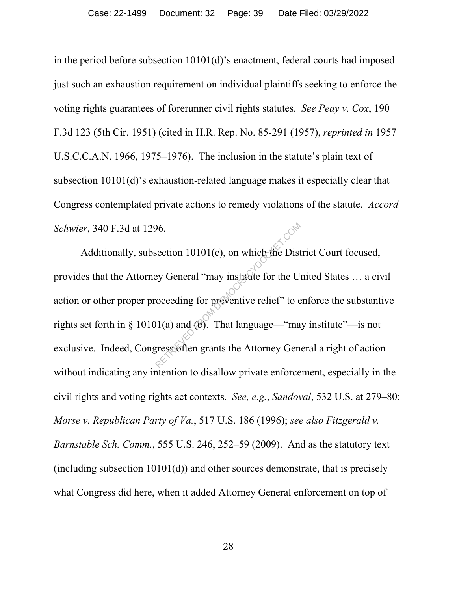in the period before subsection 10101(d)'s enactment, federal courts had imposed just such an exhaustion requirement on individual plaintiffs seeking to enforce the voting rights guarantees of forerunner civil rights statutes. *See Peay v. Cox*, 190 F.3d 123 (5th Cir. 1951) (cited in H.R. Rep. No. 85-291 (1957), *reprinted in* 1957 U.S.C.C.A.N. 1966, 1975–1976). The inclusion in the statute's plain text of subsection 10101(d)'s exhaustion-related language makes it especially clear that Congress contemplated private actions to remedy violations of the statute. *Accord Schwier*, 340 F.3d at 1296.

Additionally, subsection 10101(c), on which the District Court focused, provides that the Attorney General "may institute for the United States … a civil action or other proper proceeding for preventive relief" to enforce the substantive rights set forth in § 10101(a) and  $(6)$ . That language—"may institute"—is not exclusive. Indeed, Congress often grants the Attorney General a right of action without indicating any intention to disallow private enforcement, especially in the civil rights and voting rights act contexts. *See, e.g.*, *Sandoval*, 532 U.S. at 279–80; *Morse v. Republican Party of Va.*, 517 U.S. 186 (1996); *see also Fitzgerald v. Barnstable Sch. Comm.*, 555 U.S. 246, 252–59 (2009). And as the statutory text (including subsection 10101(d)) and other sources demonstrate, that is precisely what Congress did here, when it added Attorney General enforcement on top of Rection 10101(c), on which the Dist<br>ey General "may institute for the Universe of the University of the University of the University of the University of the University of the University of the University of the University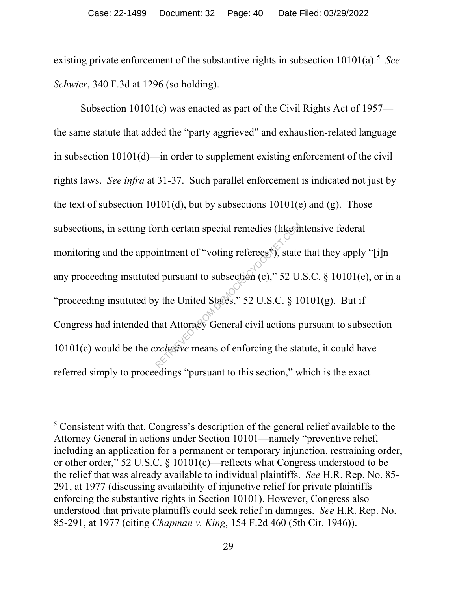existing private enforcement of the substantive rights in subsection  $10101(a)$ <sup>5</sup> See *Schwier*, 340 F.3d at 1296 (so holding).

Subsection 10101(c) was enacted as part of the Civil Rights Act of 1957 the same statute that added the "party aggrieved" and exhaustion-related language in subsection 10101(d)—in order to supplement existing enforcement of the civil rights laws. *See infra* at 31-37. Such parallel enforcement is indicated not just by the text of subsection 10101(d), but by subsections 10101(e) and (g). Those subsections, in setting forth certain special remedies (like intensive federal monitoring and the appointment of "voting referees"), state that they apply "[i]n any proceeding instituted pursuant to subsection (c)," 52 U.S.C. § 10101(e), or in a "proceeding instituted by the United States," 52 U.S.C. § 10101(g). But if Congress had intended that Attorney General civil actions pursuant to subsection 10101(c) would be the *exclusive* means of enforcing the statute, it could have referred simply to proceedings "pursuant to this section," which is the exact orth certain special remedies (likest)<br>intment of "voting referees"), state<br>d pursuant to subsection (c)," 52 U.<br>y the United States," 52 U.S.C. § 10<br>hat Attorney General civil actions p<br>xclusive means of enforcing the sta

 <sup>5</sup> Consistent with that, Congress's description of the general relief available to the Attorney General in actions under Section 10101—namely "preventive relief, including an application for a permanent or temporary injunction, restraining order, or other order," 52 U.S.C. § 10101(c)—reflects what Congress understood to be the relief that was already available to individual plaintiffs. *See* H.R. Rep. No. 85- 291, at 1977 (discussing availability of injunctive relief for private plaintiffs enforcing the substantive rights in Section 10101). However, Congress also understood that private plaintiffs could seek relief in damages. *See* H.R. Rep. No. 85-291, at 1977 (citing *Chapman v. King*, 154 F.2d 460 (5th Cir. 1946)).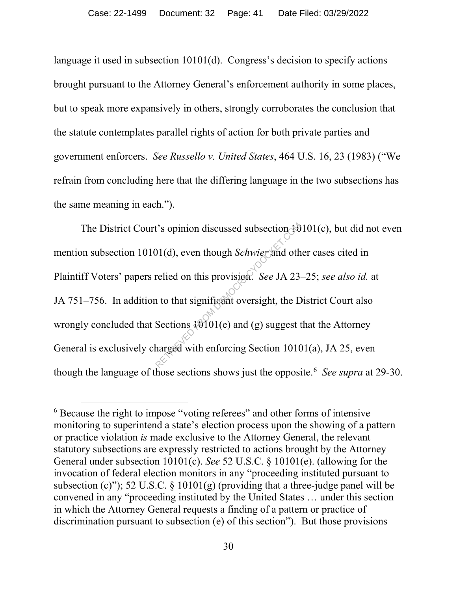language it used in subsection 10101(d). Congress's decision to specify actions brought pursuant to the Attorney General's enforcement authority in some places, but to speak more expansively in others, strongly corroborates the conclusion that the statute contemplates parallel rights of action for both private parties and government enforcers. *See Russello v. United States*, 464 U.S. 16, 23 (1983) ("We refrain from concluding here that the differing language in the two subsections has the same meaning in each.").

The District Court's opinion discussed subsection  $30101(c)$ , but did not even mention subsection 10101(d), even though *Schwier* and other cases cited in Plaintiff Voters' papers relied on this provision. *See* JA 23–25; *see also id.* at JA 751–756. In addition to that significant oversight, the District Court also wrongly concluded that Sections  $101(e)$  and (g) suggest that the Attorney General is exclusively charged with enforcing Section 10101(a), JA 25, even though the language of those sections shows just the opposite. 6 *See supra* at 29-30. t's opinion discussed subsection  $\theta$ <br>
(1)(d), even though *Schwier* and oth<br>
relied on this provision. *See* JA 23<br>
1 to that significant oversight, the L<br>
Sections  $\theta$  (9)(e) and (g) suggest tharged with enforcing Sect

 <sup>6</sup> Because the right to impose "voting referees" and other forms of intensive monitoring to superintend a state's election process upon the showing of a pattern or practice violation *is* made exclusive to the Attorney General, the relevant statutory subsections are expressly restricted to actions brought by the Attorney General under subsection 10101(c). *See* 52 U.S.C. § 10101(e). (allowing for the invocation of federal election monitors in any "proceeding instituted pursuant to subsection (c)"); 52 U.S.C.  $\S$  10101(g) (providing that a three-judge panel will be convened in any "proceeding instituted by the United States … under this section in which the Attorney General requests a finding of a pattern or practice of discrimination pursuant to subsection (e) of this section"). But those provisions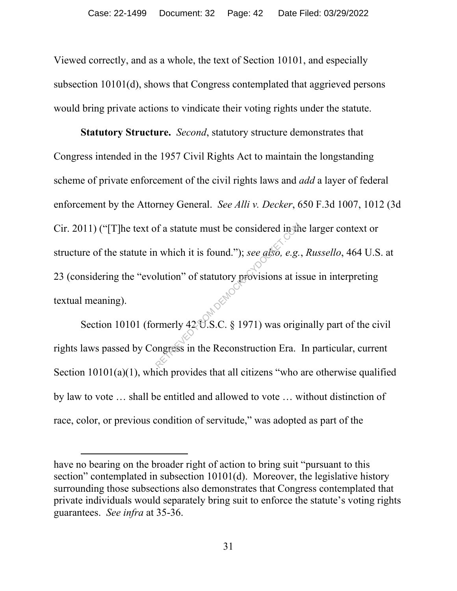Viewed correctly, and as a whole, the text of Section 10101, and especially subsection 10101(d), shows that Congress contemplated that aggrieved persons would bring private actions to vindicate their voting rights under the statute.

**Statutory Structure.** *Second*, statutory structure demonstrates that Congress intended in the 1957 Civil Rights Act to maintain the longstanding scheme of private enforcement of the civil rights laws and *add* a layer of federal enforcement by the Attorney General. *See Alli v. Decker*, 650 F.3d 1007, 1012 (3d Cir. 2011) ("[T]he text of a statute must be considered in the larger context or structure of the statute in which it is found."); *see also, e.g.*, *Russello*, 464 U.S. at 23 (considering the "evolution" of statutory provisions at issue in interpreting textual meaning). of a statute must be considered in the number of statutory provisions at is solution" of statutory provisions at is remember of statutory provisions at is remember of  $\aleph$  and  $\aleph$  and  $\aleph$  and  $\aleph$  and  $\aleph$  and  $\aleph$ 

Section 10101 (formerly  $42\sqrt{3}$ .S.C. § 1971) was originally part of the civil rights laws passed by Congress in the Reconstruction Era. In particular, current Section 10101(a)(1), which provides that all citizens "who are otherwise qualified by law to vote … shall be entitled and allowed to vote … without distinction of race, color, or previous condition of servitude," was adopted as part of the

 $\overline{a}$ 

have no bearing on the broader right of action to bring suit "pursuant to this section" contemplated in subsection 10101(d). Moreover, the legislative history surrounding those subsections also demonstrates that Congress contemplated that private individuals would separately bring suit to enforce the statute's voting rights guarantees. *See infra* at 35-36.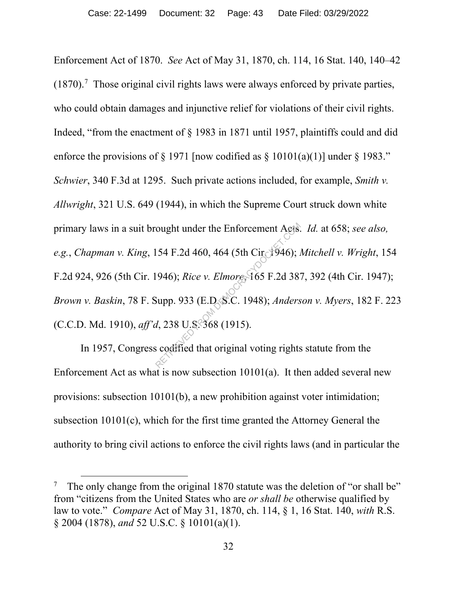Enforcement Act of 1870. *See* Act of May 31, 1870, ch. 114, 16 Stat. 140, 140–42  $(1870).<sup>7</sup>$  Those original civil rights laws were always enforced by private parties, who could obtain damages and injunctive relief for violations of their civil rights. Indeed, "from the enactment of § 1983 in 1871 until 1957, plaintiffs could and did enforce the provisions of  $\S$  1971 [now codified as  $\S$  10101(a)(1)] under  $\S$  1983." *Schwier*, 340 F.3d at 1295. Such private actions included, for example, *Smith v. Allwright*, 321 U.S. 649 (1944), in which the Supreme Court struck down white primary laws in a suit brought under the Enforcement Acts. *Id.* at 658; *see also, e.g.*, *Chapman v. King*, 154 F.2d 460, 464 (5th Cir. 1946); *Mitchell v. Wright*, 154 F.2d 924, 926 (5th Cir. 1946); *Rice v. Elmore*, 165 F.2d 387, 392 (4th Cir. 1947); *Brown v. Baskin*, 78 F. Supp. 933 (E.D. S.C. 1948); *Anderson v. Myers*, 182 F. 223 (C.C.D. Md. 1910), *aff'd*, 238 U.S. 368 (1915). rought under the Enforcement Aets.<br>
154 F.2d 460, 464 (5th Circle 1946);<br>
1946); Rice v. Elmore 165 F.2d 38<br>
Supp. 933 (E.D. S.C. 1948); Anders<br>
1, 238 U.S. 368 (1915).<br>
8 codified that original voting rights

In 1957, Congress codified that original voting rights statute from the Enforcement Act as what is now subsection 10101(a). It then added several new provisions: subsection 10101(b), a new prohibition against voter intimidation; subsection 10101(c), which for the first time granted the Attorney General the authority to bring civil actions to enforce the civil rights laws (and in particular the

<sup>&</sup>lt;sup>7</sup> The only change from the original 1870 statute was the deletion of "or shall be" from "citizens from the United States who are *or shall be* otherwise qualified by law to vote." *Compare* Act of May 31, 1870, ch. 114, § 1, 16 Stat. 140, *with* R.S. § 2004 (1878), *and* 52 U.S.C. § 10101(a)(1).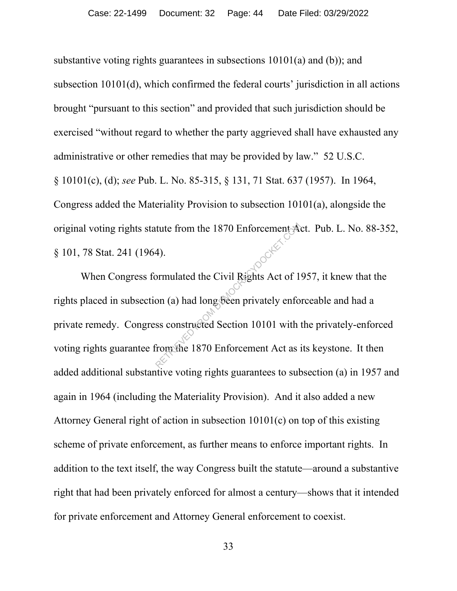substantive voting rights guarantees in subsections 10101(a) and (b)); and subsection 10101(d), which confirmed the federal courts' jurisdiction in all actions brought "pursuant to this section" and provided that such jurisdiction should be exercised "without regard to whether the party aggrieved shall have exhausted any administrative or other remedies that may be provided by law." 52 U.S.C. § 10101(c), (d); *see* Pub. L. No. 85-315, § 131, 71 Stat. 637 (1957). In 1964, Congress added the Materiality Provision to subsection 10101(a), alongside the original voting rights statute from the 1870 Enforcement Act. Pub. L. No. 88-352, § 101, 78 Stat. 241 (1964).

When Congress formulated the Civil Rights Act of 1957, it knew that the rights placed in subsection (a) had long been privately enforceable and had a private remedy. Congress constructed Section 10101 with the privately-enforced voting rights guarantee from the 1870 Enforcement Act as its keystone. It then added additional substantive voting rights guarantees to subsection (a) in 1957 and again in 1964 (including the Materiality Provision). And it also added a new Attorney General right of action in subsection 10101(c) on top of this existing scheme of private enforcement, as further means to enforce important rights. In addition to the text itself, the way Congress built the statute—around a substantive right that had been privately enforced for almost a century—shows that it intended for private enforcement and Attorney General enforcement to coexist. The Return of the 1870 Enforcement<br>Applies Act of 1<br>Summulated the Civil Rights Act of 1<br>on (a) had long been privately enfo<br>ss constructed Section 10101 with<br>rom the 1870 Enforcement Act as i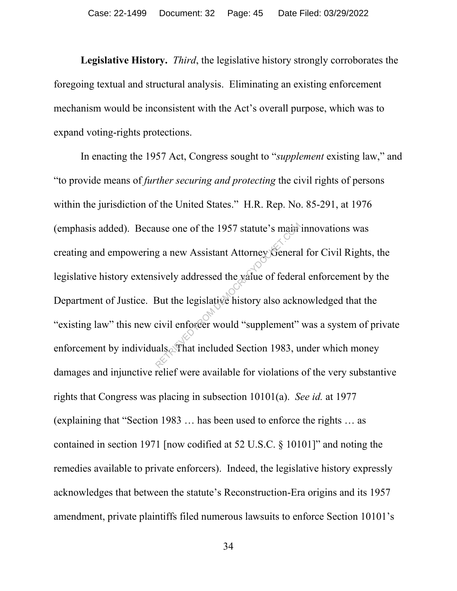**Legislative History.** *Third*, the legislative history strongly corroborates the foregoing textual and structural analysis. Eliminating an existing enforcement mechanism would be inconsistent with the Act's overall purpose, which was to expand voting-rights protections.

In enacting the 1957 Act, Congress sought to "*supplement* existing law," and "to provide means of *further securing and protecting* the civil rights of persons within the jurisdiction of the United States." H.R. Rep. No. 85-291, at 1976 (emphasis added). Because one of the 1957 statute's main innovations was creating and empowering a new Assistant Attorney General for Civil Rights, the legislative history extensively addressed the value of federal enforcement by the Department of Justice. But the legislative history also acknowledged that the "existing law" this new civil enforcer would "supplement" was a system of private enforcement by individuals. That included Section 1983, under which money damages and injunctive relief were available for violations of the very substantive rights that Congress was placing in subsection 10101(a). *See id.* at 1977 (explaining that "Section 1983 … has been used to enforce the rights … as contained in section 1971 [now codified at 52 U.S.C. § 10101]" and noting the remedies available to private enforcers). Indeed, the legislative history expressly acknowledges that between the statute's Reconstruction-Era origins and its 1957 amendment, private plaintiffs filed numerous lawsuits to enforce Section 10101's use one of the 1957 statute's mainting<br>g a new Assistant Attorney General<br>sively addressed the value of federal<br>But the legislative history also acknown civil enforcer would "supplement"<br>also That included Section 1983, u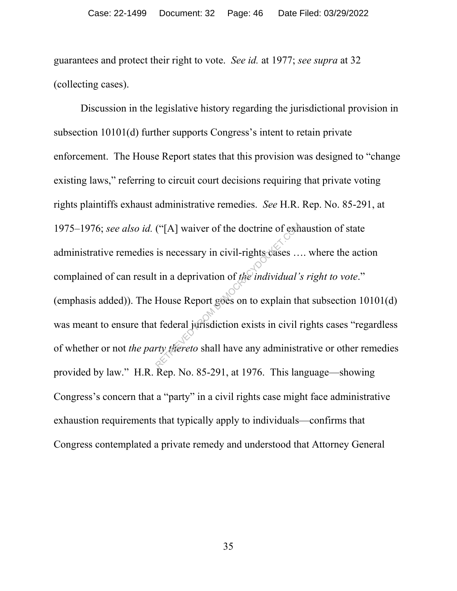guarantees and protect their right to vote. *See id.* at 1977; *see supra* at 32 (collecting cases).

Discussion in the legislative history regarding the jurisdictional provision in subsection 10101(d) further supports Congress's intent to retain private enforcement. The House Report states that this provision was designed to "change existing laws," referring to circuit court decisions requiring that private voting rights plaintiffs exhaust administrative remedies. *See* H.R. Rep. No. 85-291, at 1975–1976; *see also id.* ("[A] waiver of the doctrine of exhaustion of state administrative remedies is necessary in civil-rights cases .... where the action complained of can result in a deprivation of *the individual's right to vote*." (emphasis added)). The House Report goes on to explain that subsection 10101(d) was meant to ensure that federal jurisdiction exists in civil rights cases "regardless" of whether or not *the party thereto* shall have any administrative or other remedies provided by law." H.R. Rep. No. 85-291, at 1976. This language—showing Congress's concern that a "party" in a civil rights case might face administrative exhaustion requirements that typically apply to individuals—confirms that Congress contemplated a private remedy and understood that Attorney General ("[A] waiver of the doctrine of exh<br>is necessary in civil-rights cases...<br>t in a deprivation of the individual'.<br>House Report goes on to explain the<br>t federal jurisdiction exists in civil if<br>ty thereto shall have any admi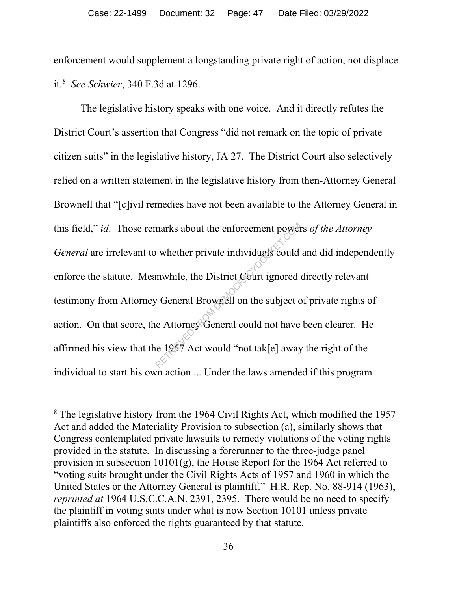enforcement would supplement a longstanding private right of action, not displace it.8 *See Schwier*, 340 F.3d at 1296.

The legislative history speaks with one voice. And it directly refutes the District Court's assertion that Congress "did not remark on the topic of private citizen suits" in the legislative history, JA 27. The District Court also selectively relied on a written statement in the legislative history from then-Attorney General Brownell that "[c]ivil remedies have not been available to the Attorney General in this field," *id*. Those remarks about the enforcement powers *of the Attorney General* are irrelevant to whether private individuals could and did independently enforce the statute. Meanwhile, the District Court ignored directly relevant testimony from Attorney General Brownell on the subject of private rights of action. On that score, the Attorney General could not have been clearer. He affirmed his view that the 1957 Act would "not tak[e] away the right of the individual to start his own action ... Under the laws amended if this program marks about the enforcement power<br>whether private individuals could<br>inwhile, the District Gourt ignored<br>or General Brownell on the subject of<br>the Attorney General could not have<br>the 1957 Act would "not tak[e] away

<sup>&</sup>lt;sup>8</sup> The legislative history from the 1964 Civil Rights Act, which modified the 1957 Act and added the Materiality Provision to subsection (a), similarly shows that Congress contemplated private lawsuits to remedy violations of the voting rights provided in the statute. In discussing a forerunner to the three-judge panel provision in subsection 10101(g), the House Report for the 1964 Act referred to "voting suits brought under the Civil Rights Acts of 1957 and 1960 in which the United States or the Attorney General is plaintiff." H.R. Rep. No. 88-914 (1963), *reprinted at* 1964 U.S.C.C.A.N. 2391, 2395. There would be no need to specify the plaintiff in voting suits under what is now Section 10101 unless private plaintiffs also enforced the rights guaranteed by that statute.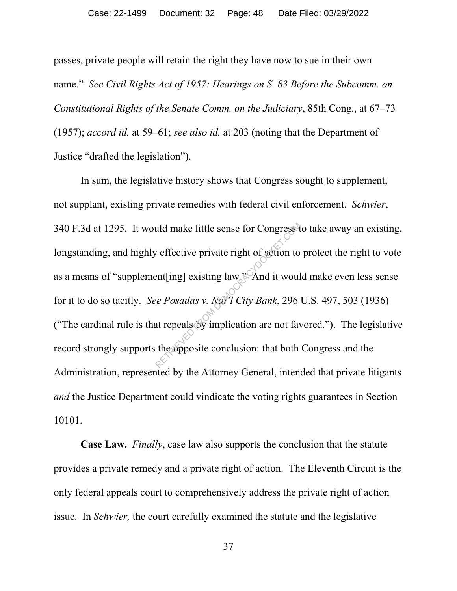passes, private people will retain the right they have now to sue in their own name." *See Civil Rights Act of 1957: Hearings on S. 83 Before the Subcomm. on Constitutional Rights of the Senate Comm. on the Judiciary*, 85th Cong., at 67–73 (1957); *accord id.* at 59–61; *see also id.* at 203 (noting that the Department of Justice "drafted the legislation").

In sum, the legislative history shows that Congress sought to supplement, not supplant, existing private remedies with federal civil enforcement. *Schwier*, 340 F.3d at 1295. It would make little sense for Congress to take away an existing, longstanding, and highly effective private right of action to protect the right to vote as a means of "supplement[ing] existing law." And it would make even less sense for it to do so tacitly. *See Posadas v. Nat'l City Bank*, 296 U.S. 497, 503 (1936) ("The cardinal rule is that repeals by implication are not favored."). The legislative record strongly supports the opposite conclusion: that both Congress and the Administration, represented by the Attorney General, intended that private litigants *and* the Justice Department could vindicate the voting rights guarantees in Section 10101. and make little sense for Congress<br>
v effective private right of action to<br>
ent[ing] existing law  $^{\circ}$ And it woul<br>
ee Posadas v. Nat<sup>9</sup>l City Bank, 296<br>
at repeals by implication are not favely

**Case Law.** *Finally*, case law also supports the conclusion that the statute provides a private remedy and a private right of action. The Eleventh Circuit is the only federal appeals court to comprehensively address the private right of action issue. In *Schwier,* the court carefully examined the statute and the legislative

37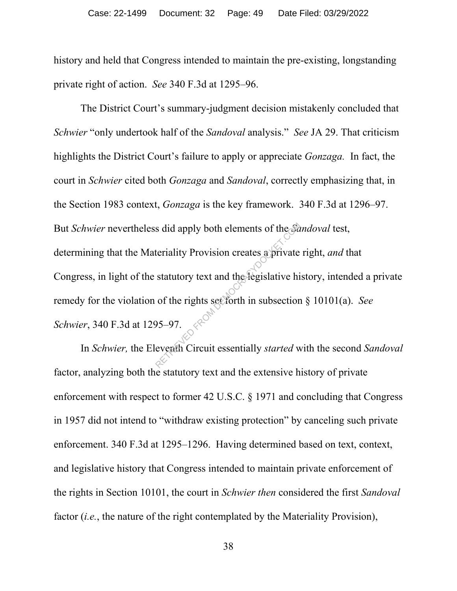history and held that Congress intended to maintain the pre-existing, longstanding private right of action. *See* 340 F.3d at 1295–96.

The District Court's summary-judgment decision mistakenly concluded that *Schwier* "only undertook half of the *Sandoval* analysis." *See* JA 29. That criticism highlights the District Court's failure to apply or appreciate *Gonzaga.* In fact, the court in *Schwier* cited both *Gonzaga* and *Sandoval*, correctly emphasizing that, in the Section 1983 context, *Gonzaga* is the key framework. 340 F.3d at 1296–97. But *Schwier* nevertheless did apply both elements of the *Sandoval* test, determining that the Materiality Provision creates a private right, *and* that Congress, in light of the statutory text and the legislative history, intended a private remedy for the violation of the rights set forth in subsection § 10101(a). *See Schwier*, 340 F.3d at 1295–97. s did apply both elements of the  $\frac{a}{c}$ <br>teriality Provision creates a private<br>statutory text and the legislative hi<br>of the rights set forth in subsection<br>95–97.

In *Schwier,* the Eleventh Circuit essentially *started* with the second *Sandoval*  factor, analyzing both the statutory text and the extensive history of private enforcement with respect to former 42 U.S.C. § 1971 and concluding that Congress in 1957 did not intend to "withdraw existing protection" by canceling such private enforcement. 340 F.3d at 1295–1296. Having determined based on text, context, and legislative history that Congress intended to maintain private enforcement of the rights in Section 10101, the court in *Schwier then* considered the first *Sandoval*  factor *(i.e.*, the nature of the right contemplated by the Materiality Provision),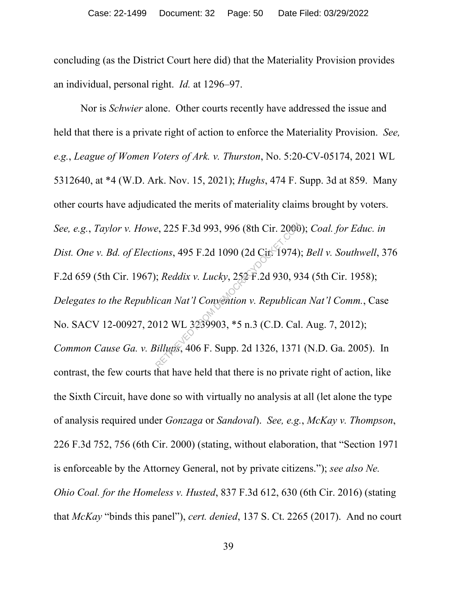concluding (as the District Court here did) that the Materiality Provision provides an individual, personal right. *Id.* at 1296–97.

Nor is *Schwier* alone. Other courts recently have addressed the issue and held that there is a private right of action to enforce the Materiality Provision. *See, e.g.*, *League of Women Voters of Ark. v. Thurston*, No. 5:20-CV-05174, 2021 WL 5312640, at \*4 (W.D. Ark. Nov. 15, 2021); *Hughs*, 474 F. Supp. 3d at 859. Many other courts have adjudicated the merits of materiality claims brought by voters. *See, e.g.*, *Taylor v. Howe*, 225 F.3d 993, 996 (8th Cir. 2000); *Coal. for Educ. in Dist. One v. Bd. of Elections*, 495 F.2d 1090 (2d Cir. 1974); *Bell v. Southwell*, 376 F.2d 659 (5th Cir. 1967); *Reddix v. Lucky*, 252 F.2d 930, 934 (5th Cir. 1958); *Delegates to the Republican Nat'l Convention v. Republican Nat'l Comm.*, Case No. SACV 12-00927, 2012 WL 3239903, \*5 n.3 (C.D. Cal. Aug. 7, 2012); *Common Cause Ga. v. Billups*, 406 F. Supp. 2d 1326, 1371 (N.D. Ga. 2005). In contrast, the few courts that have held that there is no private right of action, like the Sixth Circuit, have done so with virtually no analysis at all (let alone the type of analysis required under *Gonzaga* or *Sandoval*). *See, e.g.*, *McKay v. Thompson*, 226 F.3d 752, 756 (6th Cir. 2000) (stating, without elaboration, that "Section 1971 is enforceable by the Attorney General, not by private citizens."); *see also Ne. Ohio Coal. for the Homeless v. Husted*, 837 F.3d 612, 630 (6th Cir. 2016) (stating that *McKay* "binds this panel"), *cert. denied*, 137 S. Ct. 2265 (2017). And no court e, 225 F.3d 993, 996 (8th Cir. 2000)<br>
ions, 495 F.2d 1090 (2d Cir. 1974)<br>
; Reddix v. Lucky, 252 F.2d 930, 93<br>
ican Nat'l Convention v. Republica<br>
)12 WL 3239903, \*5 n.3 (C.D. Cal<br>
illups, 406 F. Supp. 2d 1326, 1371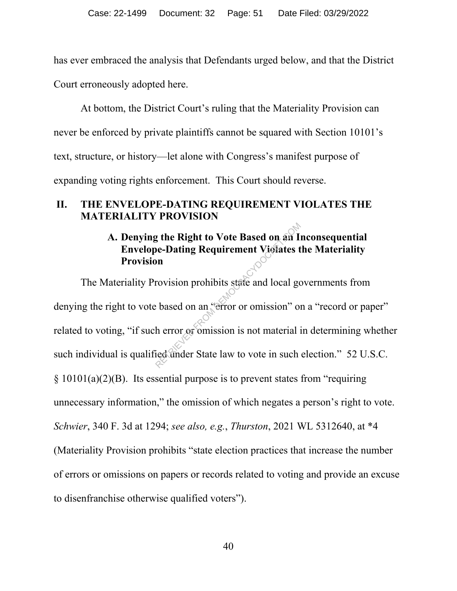has ever embraced the analysis that Defendants urged below, and that the District Court erroneously adopted here.

At bottom, the District Court's ruling that the Materiality Provision can never be enforced by private plaintiffs cannot be squared with Section 10101's text, structure, or history—let alone with Congress's manifest purpose of expanding voting rights enforcement. This Court should reverse.

#### **II. THE ENVELOPE-DATING REQUIREMENT VIOLATES THE MATERIALITY PROVISION**

#### **A. Denying the Right to Vote Based on an Inconsequential Envelope-Dating Requirement Violates the Materiality Provision**

The Materiality Provision prohibits state and local governments from denying the right to vote based on an "error or omission" on a "record or paper" related to voting, "if such error or omission is not material in determining whether such individual is qualified under State law to vote in such election." 52 U.S.C.  $\S$  10101(a)(2)(B). Its essential purpose is to prevent states from "requiring unnecessary information," the omission of which negates a person's right to vote. *Schwier*, 340 F. 3d at 1294; *see also, e.g.*, *Thurston*, 2021 WL 5312640, at \*4 (Materiality Provision prohibits "state election practices that increase the number of errors or omissions on papers or records related to voting and provide an excuse to disenfranchise otherwise qualified voters"). The Right to Vote Based on an I<br>
De-Dating Requirement Vielates to<br>
on<br>
rovision prohibits state and local go<br>
chased on an "error or omission" on<br>
h error or omission is not material if<br>
ied under State law to vote in suc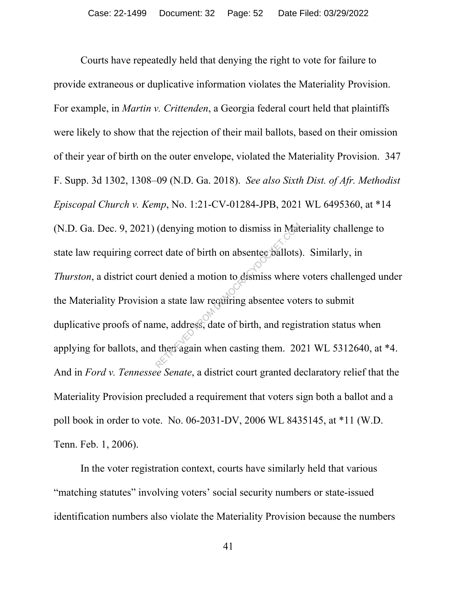Courts have repeatedly held that denying the right to vote for failure to provide extraneous or duplicative information violates the Materiality Provision. For example, in *Martin v. Crittenden*, a Georgia federal court held that plaintiffs were likely to show that the rejection of their mail ballots, based on their omission of their year of birth on the outer envelope, violated the Materiality Provision. 347 F. Supp. 3d 1302, 1308–09 (N.D. Ga. 2018). *See also Sixth Dist. of Afr. Methodist Episcopal Church v. Kemp*, No. 1:21-CV-01284-JPB, 2021 WL 6495360, at \*14 (N.D. Ga. Dec. 9, 2021) (denying motion to dismiss in Materiality challenge to state law requiring correct date of birth on absentee ballots). Similarly, in *Thurston*, a district court denied a motion to dismiss where voters challenged under the Materiality Provision a state law requiring absentee voters to submit duplicative proofs of name, address, date of birth, and registration status when applying for ballots, and then again when casting them. 2021 WL 5312640, at \*4. And in *Ford v. Tennessee Senate*, a district court granted declaratory relief that the Materiality Provision precluded a requirement that voters sign both a ballot and a poll book in order to vote. No. 06-2031-DV, 2006 WL 8435145, at \*11 (W.D. Tenn. Feb. 1, 2006). (denying motion to dismiss in Mat<br>ct date of birth on absentee ballots)<br>t denied a motion to dismiss where<br>n a state law requiring absentee vot<br>me, address, date of birth, and regis<br>then again when casting them. 20

In the voter registration context, courts have similarly held that various "matching statutes" involving voters' social security numbers or state-issued identification numbers also violate the Materiality Provision because the numbers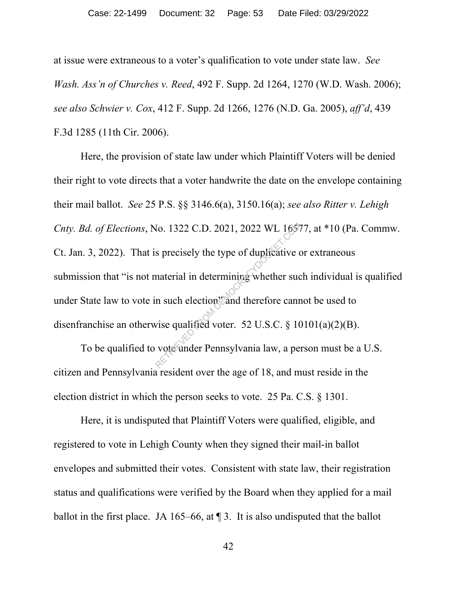at issue were extraneous to a voter's qualification to vote under state law. *See Wash. Ass'n of Churches v. Reed*, 492 F. Supp. 2d 1264, 1270 (W.D. Wash. 2006); *see also Schwier v. Cox*, 412 F. Supp. 2d 1266, 1276 (N.D. Ga. 2005), *aff'd*, 439 F.3d 1285 (11th Cir. 2006).

Here, the provision of state law under which Plaintiff Voters will be denied their right to vote directs that a voter handwrite the date on the envelope containing their mail ballot. *See* 25 P.S. §§ 3146.6(a), 3150.16(a); *see also Ritter v. Lehigh Cnty. Bd. of Elections*, No. 1322 C.D. 2021, 2022 WL 16577, at \*10 (Pa. Commw. Ct. Jan. 3, 2022). That is precisely the type of duplicative or extraneous submission that "is not material in determining whether such individual is qualified under State law to vote in such election" and therefore cannot be used to disenfranchise an otherwise qualified voter. 52 U.S.C. § 10101(a)(2)(B). Vo. 1322 C.D. 2021, 2022 WL 1657<br>
s precisely the type of duplicative of<br>
material in determining whether such<br>
m such election and therefore cannot<br>
wise qualified voter. 52 U.S.C. § 10<br>
vote under Pennsylvania law, a per

To be qualified to vote under Pennsylvania law, a person must be a U.S. citizen and Pennsylvania resident over the age of 18, and must reside in the election district in which the person seeks to vote. 25 Pa. C.S. § 1301.

Here, it is undisputed that Plaintiff Voters were qualified, eligible, and registered to vote in Lehigh County when they signed their mail-in ballot envelopes and submitted their votes. Consistent with state law, their registration status and qualifications were verified by the Board when they applied for a mail ballot in the first place. JA 165–66, at ¶ 3. It is also undisputed that the ballot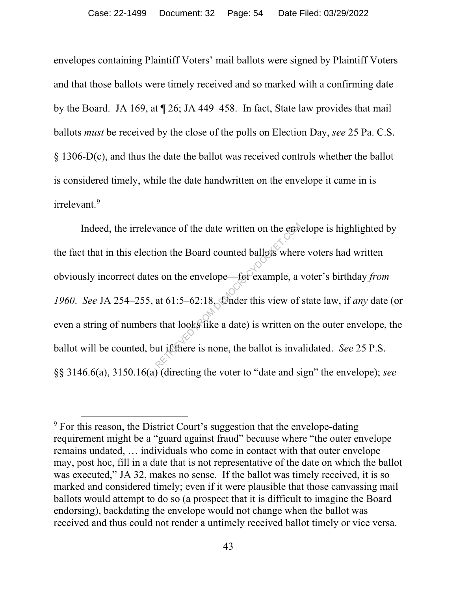envelopes containing Plaintiff Voters' mail ballots were signed by Plaintiff Voters and that those ballots were timely received and so marked with a confirming date by the Board. JA 169, at ¶ 26; JA 449–458. In fact, State law provides that mail ballots *must* be received by the close of the polls on Election Day, *see* 25 Pa. C.S. § 1306-D(c), and thus the date the ballot was received controls whether the ballot is considered timely, while the date handwritten on the envelope it came in is irrelevant.<sup>9</sup>

Indeed, the irrelevance of the date written on the envelope is highlighted by the fact that in this election the Board counted ballots where voters had written obviously incorrect dates on the envelope—for example, a voter's birthday *from 1960*. *See* JA 254–255, at 61:5–62:18. Under this view of state law, if *any* date (or even a string of numbers that looks like a date) is written on the outer envelope, the ballot will be counted, but if there is none, the ballot is invalidated. *See* 25 P.S. §§ 3146.6(a), 3150.16(a) (directing the voter to "date and sign" the envelope); *see*  Frame of the date written on the environment<br>ion the Board counted ballots where<br>s on the envelope—for example, a<br>at 61:5–62:18. Compare this view of<br>s that looks like a date) is written on<br>ut if there is none, the ballot

<sup>&</sup>lt;sup>9</sup> For this reason, the District Court's suggestion that the envelope-dating requirement might be a "guard against fraud" because where "the outer envelope remains undated, … individuals who come in contact with that outer envelope may, post hoc, fill in a date that is not representative of the date on which the ballot was executed," JA 32, makes no sense. If the ballot was timely received, it is so marked and considered timely; even if it were plausible that those canvassing mail ballots would attempt to do so (a prospect that it is difficult to imagine the Board endorsing), backdating the envelope would not change when the ballot was received and thus could not render a untimely received ballot timely or vice versa.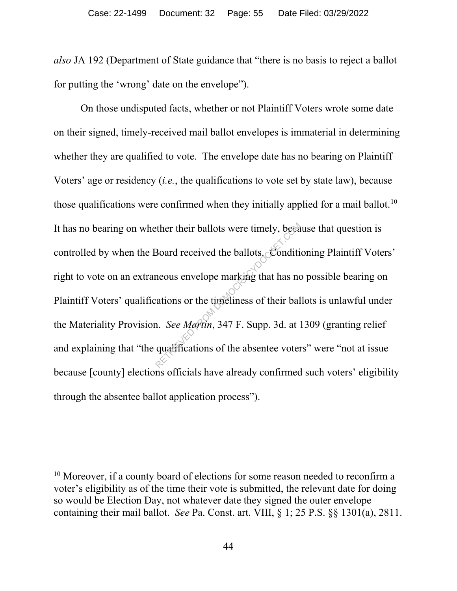*also* JA 192 (Department of State guidance that "there is no basis to reject a ballot for putting the 'wrong' date on the envelope").

On those undisputed facts, whether or not Plaintiff Voters wrote some date on their signed, timely-received mail ballot envelopes is immaterial in determining whether they are qualified to vote. The envelope date has no bearing on Plaintiff Voters' age or residency (*i.e.*, the qualifications to vote set by state law), because those qualifications were confirmed when they initially applied for a mail ballot.<sup>10</sup> It has no bearing on whether their ballots were timely, because that question is controlled by when the Board received the ballots. Conditioning Plaintiff Voters' right to vote on an extraneous envelope marking that has no possible bearing on Plaintiff Voters' qualifications or the timeliness of their ballots is unlawful under the Materiality Provision. *See Martin*, 347 F. Supp. 3d. at 1309 (granting relief and explaining that "the qualifications of the absentee voters" were "not at issue because [county] elections officials have already confirmed such voters' eligibility through the absentee ballot application process"). external text in the ballots.<br>
Soard received the ballots.<br>
Conditinent is allots.<br>
Conditions or the timeliness of their bal<br>
The Martin, 347 F. Supp. 3d. at is<br>
qualifications of the absentee voter

<sup>&</sup>lt;sup>10</sup> Moreover, if a county board of elections for some reason needed to reconfirm a voter's eligibility as of the time their vote is submitted, the relevant date for doing so would be Election Day, not whatever date they signed the outer envelope containing their mail ballot. *See* Pa. Const. art. VIII, § 1; 25 P.S. §§ 1301(a), 2811.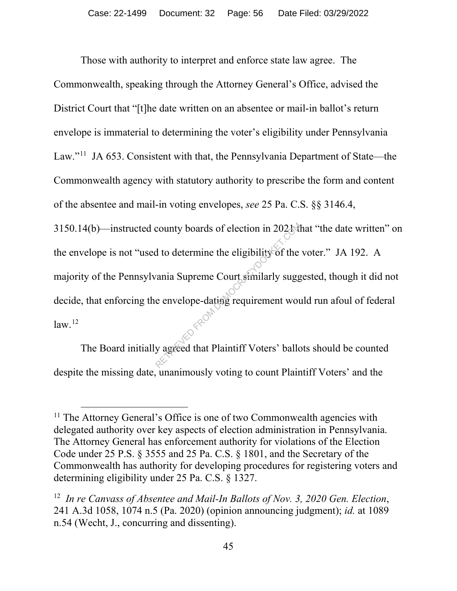Those with authority to interpret and enforce state law agree. The Commonwealth, speaking through the Attorney General's Office, advised the District Court that "[t]he date written on an absentee or mail-in ballot's return envelope is immaterial to determining the voter's eligibility under Pennsylvania Law."<sup>11</sup> JA 653. Consistent with that, the Pennsylvania Department of State—the Commonwealth agency with statutory authority to prescribe the form and content of the absentee and mail-in voting envelopes, *see* 25 Pa. C.S. §§ 3146.4, 3150.14(b)—instructed county boards of election in 2021 that "the date written" on the envelope is not "used to determine the eligibility of the voter." JA 192. A majority of the Pennsylvania Supreme Court similarly suggested, though it did not decide, that enforcing the envelope-dating requirement would run afoul of federal  $law.<sup>12</sup>$ county boards of election in 2021and<br>d to determine the eligibility of the<br>vania Supreme Court similarly sugge<br>e envelope-dating requirement would be enveloped that Plaintiff Voters' ballo

The Board initially agreed that Plaintiff Voters' ballots should be counted despite the missing date, unanimously voting to count Plaintiff Voters' and the

 $11$  The Attorney General's Office is one of two Commonwealth agencies with delegated authority over key aspects of election administration in Pennsylvania. The Attorney General has enforcement authority for violations of the Election Code under 25 P.S. § 3555 and 25 Pa. C.S. § 1801, and the Secretary of the Commonwealth has authority for developing procedures for registering voters and determining eligibility under 25 Pa. C.S. § 1327.

<sup>12</sup> *In re Canvass of Absentee and Mail-In Ballots of Nov. 3, 2020 Gen. Election*, 241 A.3d 1058, 1074 n.5 (Pa. 2020) (opinion announcing judgment); *id.* at 1089 n.54 (Wecht, J., concurring and dissenting).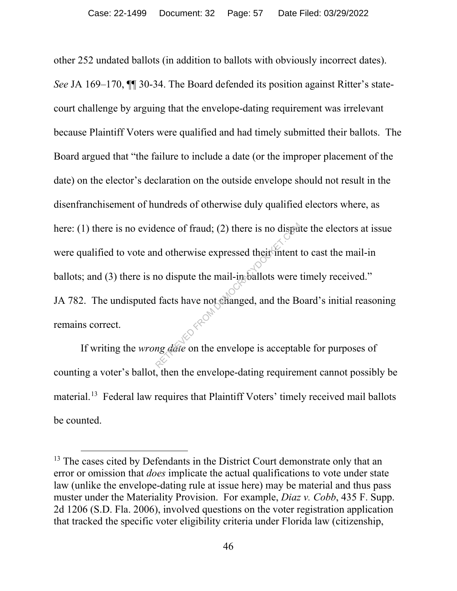other 252 undated ballots (in addition to ballots with obviously incorrect dates). *See* JA 169–170, ¶¶ 30-34. The Board defended its position against Ritter's statecourt challenge by arguing that the envelope-dating requirement was irrelevant because Plaintiff Voters were qualified and had timely submitted their ballots. The Board argued that "the failure to include a date (or the improper placement of the date) on the elector's declaration on the outside envelope should not result in the disenfranchisement of hundreds of otherwise duly qualified electors where, as here: (1) there is no evidence of fraud; (2) there is no dispute the electors at issue were qualified to vote and otherwise expressed their intent to cast the mail-in ballots; and (3) there is no dispute the mail-in ballots were timely received." JA 782. The undisputed facts have not changed, and the Board's initial reasoning remains correct. lence of fraud; (2) there is no dispute<br>
and otherwise expressed their intent<br>
no dispute the mail-in-ballots were<br>
<br>
l facts have not changed, and the Bost<br>
ng date on the envelope is acceptable

If writing the *wrong date* on the envelope is acceptable for purposes of counting a voter's ballot, then the envelope-dating requirement cannot possibly be material.<sup>13</sup> Federal law requires that Plaintiff Voters' timely received mail ballots be counted.

<sup>&</sup>lt;sup>13</sup> The cases cited by Defendants in the District Court demonstrate only that an error or omission that *does* implicate the actual qualifications to vote under state law (unlike the envelope-dating rule at issue here) may be material and thus pass muster under the Materiality Provision. For example, *Diaz v. Cobb*, 435 F. Supp. 2d 1206 (S.D. Fla. 2006), involved questions on the voter registration application that tracked the specific voter eligibility criteria under Florida law (citizenship,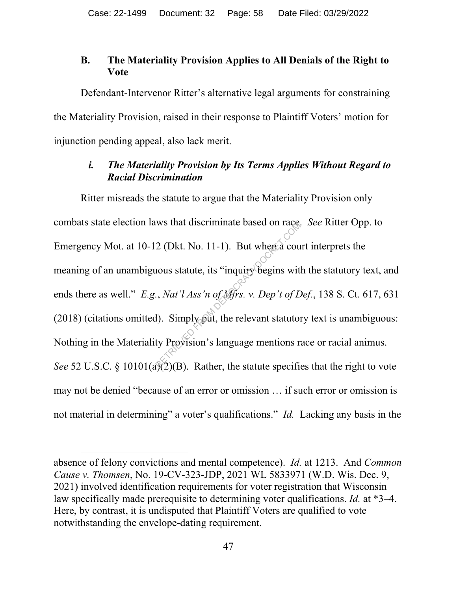#### **B. The Materiality Provision Applies to All Denials of the Right to Vote**

Defendant-Intervenor Ritter's alternative legal arguments for constraining the Materiality Provision, raised in their response to Plaintiff Voters' motion for injunction pending appeal, also lack merit.

#### *i. The Materiality Provision by Its Terms Applies Without Regard to Racial Discrimination*

Ritter misreads the statute to argue that the Materiality Provision only combats state election laws that discriminate based on race. *See* Ritter Opp. to Emergency Mot. at 10-12 (Dkt. No. 11-1). But when a court interprets the meaning of an unambiguous statute, its "inquiry begins with the statutory text, and ends there as well." *E.g.*, *Nat'l Ass'n of Mfrs. v. Dep't of Def.*, 138 S. Ct. 617, 631 (2018) (citations omitted). Simply put, the relevant statutory text is unambiguous: Nothing in the Materiality Provision's language mentions race or racial animus. *See* 52 U.S.C. § 10101(a)(2)(B). Rather, the statute specifies that the right to vote may not be denied "because of an error or omission … if such error or omission is not material in determining" a voter's qualifications." *Id.* Lacking any basis in the 2 (Dkt. No. 11-1). But when a court out of Mathematic status status is "inquiry begins with the Native Section of Mathematic Section of Mathematic Section 1.<br>By Provision's language mentions reported to Provision's langua

 $\overline{a}$ 

absence of felony convictions and mental competence). *Id.* at 1213. And *Common Cause v. Thomsen*, No. 19-CV-323-JDP, 2021 WL 5833971 (W.D. Wis. Dec. 9, 2021) involved identification requirements for voter registration that Wisconsin law specifically made prerequisite to determining voter qualifications. *Id.* at \*3–4. Here, by contrast, it is undisputed that Plaintiff Voters are qualified to vote notwithstanding the envelope-dating requirement.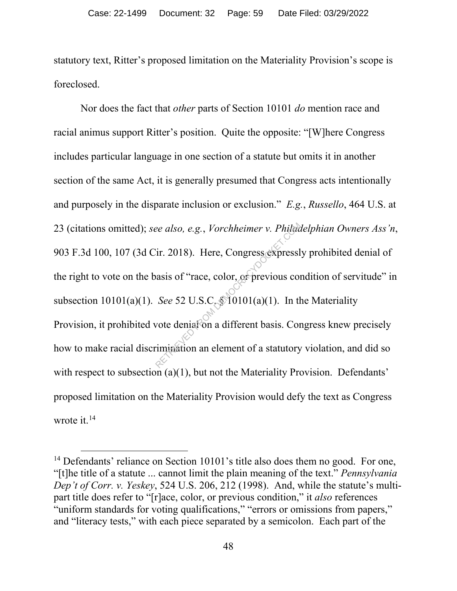statutory text, Ritter's proposed limitation on the Materiality Provision's scope is foreclosed.

Nor does the fact that *other* parts of Section 10101 *do* mention race and racial animus support Ritter's position. Quite the opposite: "[W]here Congress includes particular language in one section of a statute but omits it in another section of the same Act, it is generally presumed that Congress acts intentionally and purposely in the disparate inclusion or exclusion." *E.g.*, *Russello*, 464 U.S. at 23 (citations omitted); *see also, e.g.*, *Vorchheimer v. Philadelphian Owners Ass'n*, 903 F.3d 100, 107 (3d Cir. 2018). Here, Congress expressly prohibited denial of the right to vote on the basis of "race, color, or previous condition of servitude" in subsection 10101(a)(1). *See* 52 U.S.C. § 10101(a)(1). In the Materiality Provision, it prohibited vote denial on a different basis. Congress knew precisely how to make racial discrimination an element of a statutory violation, and did so with respect to subsection (a)(1), but not the Materiality Provision. Defendants' proposed limitation on the Materiality Provision would defy the text as Congress wrote it. 14 re also, e.g., *Vorchheimer v. Philad*<br>
ir. 2018). Here, Congress expressl<br>
vasis of "race, color, or previous contracts of "race, color, or previous contracts"<br>
See 52 U.S.C. (10101(a)(1). In the vote denial on a differen

<sup>&</sup>lt;sup>14</sup> Defendants' reliance on Section 10101's title also does them no good. For one, "[t]he title of a statute ... cannot limit the plain meaning of the text." *Pennsylvania Dep't of Corr. v. Yeskey*, 524 U.S. 206, 212 (1998). And, while the statute's multipart title does refer to "[r]ace, color, or previous condition," it *also* references "uniform standards for voting qualifications," "errors or omissions from papers," and "literacy tests," with each piece separated by a semicolon. Each part of the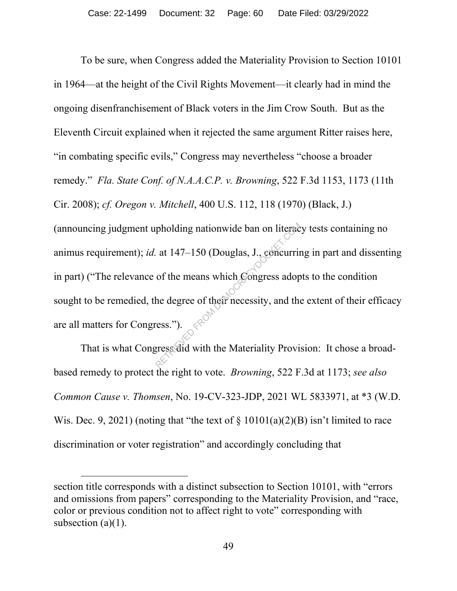To be sure, when Congress added the Materiality Provision to Section 10101 in 1964—at the height of the Civil Rights Movement—it clearly had in mind the ongoing disenfranchisement of Black voters in the Jim Crow South. But as the Eleventh Circuit explained when it rejected the same argument Ritter raises here, "in combating specific evils," Congress may nevertheless "choose a broader remedy." *Fla. State Conf. of N.A.A.C.P. v. Browning*, 522 F.3d 1153, 1173 (11th Cir. 2008); *cf. Oregon v. Mitchell*, 400 U.S. 112, 118 (1970) (Black, J.) (announcing judgment upholding nationwide ban on literacy tests containing no animus requirement); *id.* at 147–150 (Douglas, J., concurring in part and dissenting in part) ("The relevance of the means which Congress adopts to the condition sought to be remedied, the degree of their necessity, and the extent of their efficacy are all matters for Congress."). pholding nationwide ban on literace.<br>
at 147–150 (Douglas, J., concurrinc<br>
of the means which Gongress adop<br>
he degree of their necessity, and the<br>
ress.").

That is what Congress did with the Materiality Provision: It chose a broadbased remedy to protect the right to vote. *Browning*, 522 F.3d at 1173; *see also Common Cause v. Thomsen*, No. 19-CV-323-JDP, 2021 WL 5833971, at \*3 (W.D. Wis. Dec. 9, 2021) (noting that "the text of  $\S$  10101(a)(2)(B) isn't limited to race discrimination or voter registration" and accordingly concluding that

 $\overline{a}$ 

section title corresponds with a distinct subsection to Section 10101, with "errors and omissions from papers" corresponding to the Materiality Provision, and "race, color or previous condition not to affect right to vote" corresponding with subsection  $(a)(1)$ .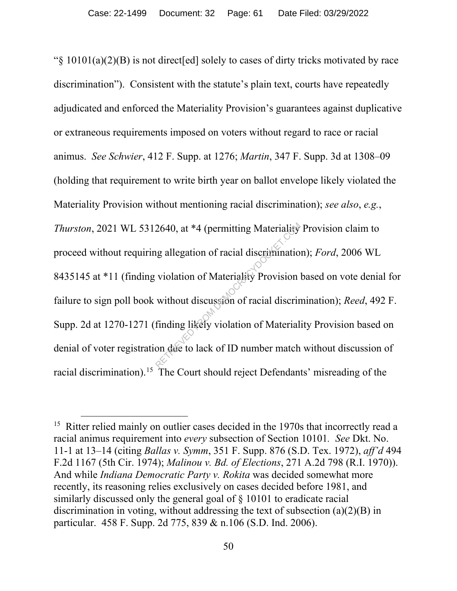"§ 10101(a)(2)(B) is not direct[ed] solely to cases of dirty tricks motivated by race discrimination"). Consistent with the statute's plain text, courts have repeatedly adjudicated and enforced the Materiality Provision's guarantees against duplicative or extraneous requirements imposed on voters without regard to race or racial animus. *See Schwier*, 412 F. Supp. at 1276; *Martin*, 347 F. Supp. 3d at 1308–09 (holding that requirement to write birth year on ballot envelope likely violated the Materiality Provision without mentioning racial discrimination); *see also*, *e.g.*, *Thurston*, 2021 WL 5312640, at \*4 (permitting Materiality Provision claim to proceed without requiring allegation of racial discrimination); *Ford*, 2006 WL 8435145 at \*11 (finding violation of Materiality Provision based on vote denial for failure to sign poll book without discussion of racial discrimination); *Reed*, 492 F. Supp. 2d at 1270-1271 (finding likely violation of Materiality Provision based on denial of voter registration due to lack of ID number match without discussion of racial discrimination).<sup>15</sup> The Court should reject Defendants' misreading of the 2640, at \*4 (permitting Materiality)<br>ig allegation of racial discrimination<br>violation of Materiality Provision<br>without discussion of racial discrimination<br>finding likely violation of Material<br>on due to lack of ID number ma

<sup>&</sup>lt;sup>15</sup> Ritter relied mainly on outlier cases decided in the 1970s that incorrectly read a racial animus requirement into *every* subsection of Section 10101*. See* Dkt. No. 11-1 at 13–14 (citing *Ballas v. Symm*, 351 F. Supp. 876 (S.D. Tex. 1972), *aff'd* 494 F.2d 1167 (5th Cir. 1974); *Malinou v. Bd. of Elections*, 271 A.2d 798 (R.I. 1970)). And while *Indiana Democratic Party v. Rokita* was decided somewhat more recently, its reasoning relies exclusively on cases decided before 1981, and similarly discussed only the general goal of § 10101 to eradicate racial discrimination in voting, without addressing the text of subsection (a)(2)(B) in particular. 458 F. Supp. 2d 775, 839 & n.106 (S.D. Ind. 2006).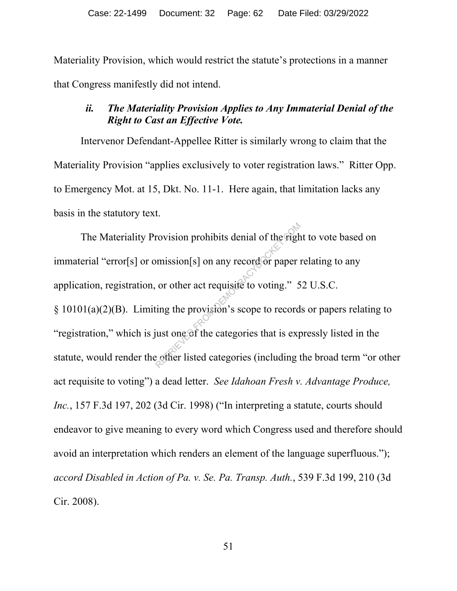Materiality Provision, which would restrict the statute's protections in a manner that Congress manifestly did not intend.

#### *ii. The Materiality Provision Applies to Any Immaterial Denial of the Right to Cast an Effective Vote.*

Intervenor Defendant-Appellee Ritter is similarly wrong to claim that the Materiality Provision "applies exclusively to voter registration laws." Ritter Opp. to Emergency Mot. at 15, Dkt. No. 11-1. Here again, that limitation lacks any basis in the statutory text.

The Materiality Provision prohibits denial of the right to vote based on immaterial "error[s] or omission[s] on any record or paper relating to any application, registration, or other act requisite to voting." 52 U.S.C. § 10101(a)(2)(B). Limiting the provision's scope to records or papers relating to "registration," which is just one of the categories that is expressly listed in the statute, would render the other listed categories (including the broad term "or other act requisite to voting") a dead letter. *See Idahoan Fresh v. Advantage Produce, Inc.*, 157 F.3d 197, 202 (3d Cir. 1998) ("In interpreting a statute, courts should endeavor to give meaning to every word which Congress used and therefore should avoid an interpretation which renders an element of the language superfluous."); *accord Disabled in Action of Pa. v. Se. Pa. Transp. Auth.*, 539 F.3d 199, 210 (3d Cir. 2008). rovision prohibits denial of the Fight<br>omission[s] on any record or paper is<br>or other act requisite to voting." 5<br>ting the provision's scope to record<br>just one of the categories that is expected.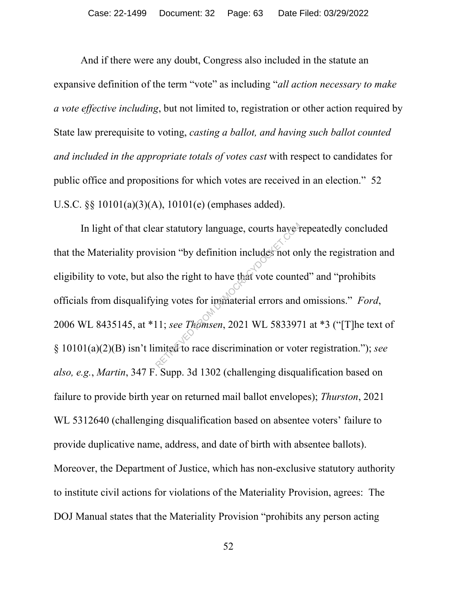And if there were any doubt, Congress also included in the statute an expansive definition of the term "vote" as including "*all action necessary to make a vote effective including*, but not limited to, registration or other action required by State law prerequisite to voting, *casting a ballot, and having such ballot counted and included in the appropriate totals of votes cast* with respect to candidates for public office and propositions for which votes are received in an election." 52 U.S.C. §§ 10101(a)(3)(A), 10101(e) (emphases added).

In light of that clear statutory language, courts have repeatedly concluded that the Materiality provision "by definition includes not only the registration and eligibility to vote, but also the right to have that vote counted" and "prohibits officials from disqualifying votes for immaterial errors and omissions." *Ford*, 2006 WL 8435145, at \*11; *see Thomsen*, 2021 WL 5833971 at \*3 ("[T]he text of § 10101(a)(2)(B) isn't limited to race discrimination or voter registration."); *see also, e.g.*, *Martin*, 347 F. Supp. 3d 1302 (challenging disqualification based on failure to provide birth year on returned mail ballot envelopes); *Thurston*, 2021 WL 5312640 (challenging disqualification based on absentee voters' failure to provide duplicative name, address, and date of birth with absentee ballots). Moreover, the Department of Justice, which has non-exclusive statutory authority to institute civil actions for violations of the Materiality Provision, agrees: The DOJ Manual states that the Materiality Provision "prohibits any person acting ar statutory language, courts have it is<br>ision "by definition includes not or<br>so the right to have that vote counts<br>ing votes for immediate and<br>11; see Thomsen, 2021 WL 583397<br>mited to race discrimination or vote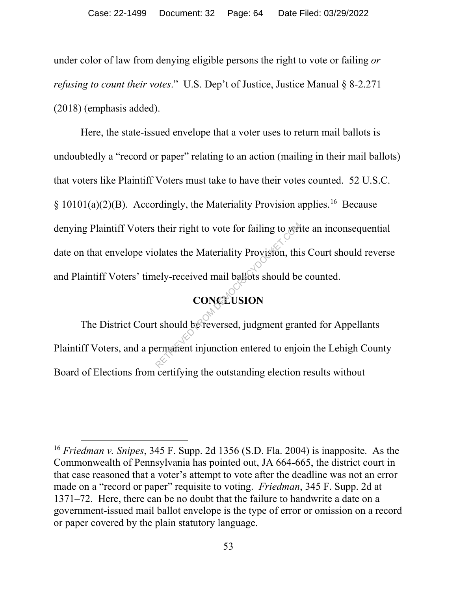under color of law from denying eligible persons the right to vote or failing *or refusing to count their votes*." U.S. Dep't of Justice, Justice Manual § 8-2.271 (2018) (emphasis added).

Here, the state-issued envelope that a voter uses to return mail ballots is undoubtedly a "record or paper" relating to an action (mailing in their mail ballots) that voters like Plaintiff Voters must take to have their votes counted. 52 U.S.C.  $\S 10101(a)(2)(B)$ . Accordingly, the Materiality Provision applies.<sup>16</sup> Because denying Plaintiff Voters their right to vote for failing to write an inconsequential date on that envelope violates the Materiality Provision, this Court should reverse and Plaintiff Voters' timely-received mail ballots should be counted. their right to vote for failing to write<br>
blates the Materiality Provision, this<br>
ely-received mail ballots should be<br> **CONCLUSION**<br>
t should be reversed, judgment grant ermanent injunction entered to enjo

## **CONCLUSION**

The District Court should be reversed, judgment granted for Appellants Plaintiff Voters, and a permanent injunction entered to enjoin the Lehigh County Board of Elections from certifying the outstanding election results without

 <sup>16</sup> *Friedman v. Snipes*, 345 F. Supp. 2d 1356 (S.D. Fla. 2004) is inapposite. As the Commonwealth of Pennsylvania has pointed out, JA 664-665, the district court in that case reasoned that a voter's attempt to vote after the deadline was not an error made on a "record or paper" requisite to voting. *Friedman*, 345 F. Supp. 2d at 1371–72. Here, there can be no doubt that the failure to handwrite a date on a government-issued mail ballot envelope is the type of error or omission on a record or paper covered by the plain statutory language.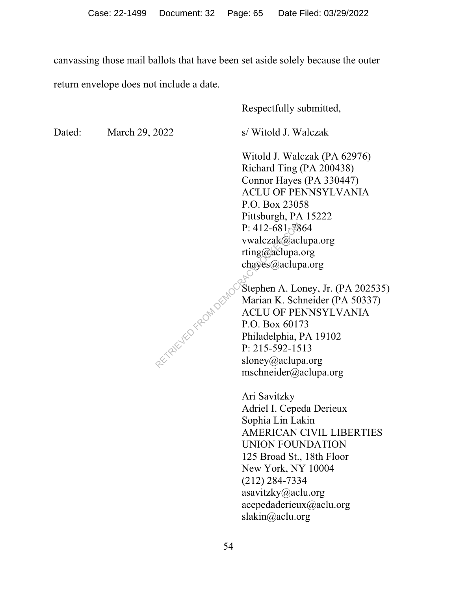canvassing those mail ballots that have been set aside solely because the outer return envelope does not include a date.

Respectfully submitted, Dated: March 29, 2022 s/ Witold J. Walczak Witold J. Walczak (PA 62976) Richard Ting (PA 200438) Connor Hayes (PA 330447) ACLU OF PENNSYLVANIA P.O. Box 23058 Pittsburgh, PA 15222 P: 412-681-7864 vwalczak@aclupa.org rting@aclupa.org chayes@aclupa.org Stephen A. Loney, Jr. (PA 202535) Marian K. Schneider (PA 50337) ACLU OF PENNSYLVANIA P.O. Box 60173 Philadelphia, PA 19102 P: 215-592-1513 sloney@aclupa.org mschneider@aclupa.org Ari Savitzky Adriel I. Cepeda Derieux Sophia Lin Lakin AMERICAN CIVIL LIBERTIES UNION FOUNDATION 125 Broad St., 18th Floor New York, NY 10004 (212) 284-7334 asavitzky@aclu.org acepedaderieux@aclu.org RETRIEVED FROM DEMOCY

slakin@aclu.org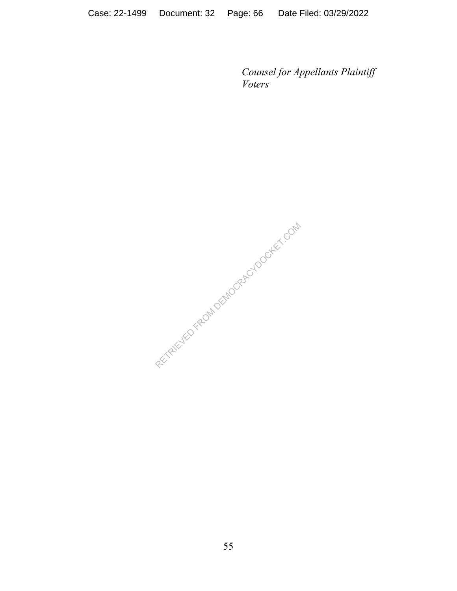*Counsel for Appellants Plaintiff Voters*

RETRIEVED FROM DEMOCRACYDOCKET.COM